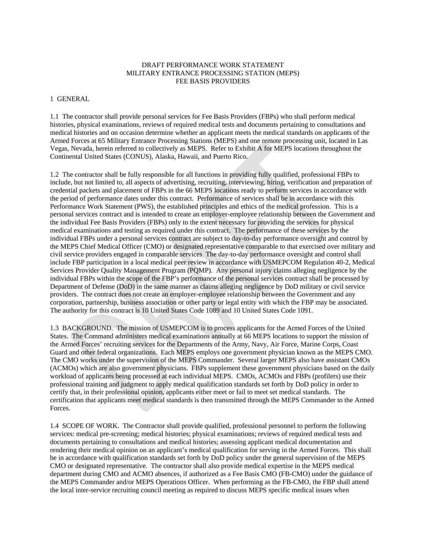## DRAFT PERFORMANCE WORK STATEMENT MILITARY ENTRANCE PROCESSING STATION (MEPS) FEE BASIS PROVIDERS

## 1 GENERAL

1.1 The contractor shall provide personal services for Fee Basis Providers (FBPs) who shall perform medical histories, physical examinations, reviews of required medical tests and documents pertaining to consultations and medical histories and on occasion determine whether an applicant meets the medical standards on applicants of the Armed Forces at 65 Military Entrance Processing Stations (MEPS) and one remote processing unit, located in Las Vegas, Nevada, herein referred to collectively as MEPS. Refer to Exhibit A for MEPS locations throughout the Continental United States (CONUS), Alaska, Hawaii, and Puerto Rico.

1.2 The contractor shall be fully responsible for all functions in providing fully qualified, professional FBPs to include, but not limited to, all aspects of advertising, recruiting, interviewing, hiring, verification and preparation of credential packets and placement of FBPs in the 66 MEPS locations ready to perform services in accordance with the period of performance dates under this contract. Performance of services shall be in accordance with this Performance Work Statement (PWS), the established principles and ethics of the medical profession. This is a personal services contract and is intended to create an employer-employee relationship between the Government and the individual Fee Basis Providers (FBPs) only to the extent necessary for providing the services for physical medical examinations and testing as required under this contract. The performance of these services by the individual FBPs under a personal services contract are subject to day-to-day performance oversight and control by the MEPS Chief Medical Officer (CMO) or designated representative comparable to that exercised over military and civil service providers engaged in comparable services The day-to-day performance oversight and control shall include FBP participation in a local medical peer review in accordance with USMEPCOM Regulation 40-2, Medical Services Provider Quality Management Program (PQMP). Any personal injury claims alleging negligence by the individual FBPs within the scope of the FBP's performance of the personal services contract shall be processed by Department of Defense (DoD) in the same manner as claims alleging negligence by DoD military or civil service providers. The contract does not create an employer-employee relationship between the Government and any corporation, partnership, business association or other party or legal entity with which the FBP may be associated. The authority for this contract is 10 United States Code 1089 and 10 United States Code 1091.

1.3 BACKGROUND. The mission of USMEPCOM is to process applicants for the Armed Forces of the United States. The Command administers medical examinations annually at 66 MEPS locations to support the mission of the Armed Forces' recruiting services for the Departments of the Army, Navy, Air Force, Marine Corps, Coast Guard and other federal organizations. Each MEPS employs one government physician known as the MEPS CMO. The CMO works under the supervision of the MEPS Commander. Several larger MEPS also have assistant CMOs (ACMOs) which are also government physicians. FBPs supplement these government physicians based on the daily workload of applicants being processed at each individual MEPS. CMOs, ACMOs and FBPs (profilers) use their professional training and judgment to apply medical qualification standards set forth by DoD policy in order to certify that, in their professional opinion, applicants either meet or fail to meet set medical standards. The certification that applicants meet medical standards is then transmitted through the MEPS Commander to the Armed Forces.

1.4 SCOPE OF WORK. The Contractor shall provide qualified, professional personnel to perform the following services: medical pre-screening; medical histories; physical examinations; reviews of required medical tests and documents pertaining to consultations and medical histories; assessing applicant medical documentation and rendering their medical opinion on an applicant's medical qualification for serving in the Armed Forces. This shall be in accordance with qualification standards set forth by DoD policy under the general supervision of the MEPS CMO or designated representative. The contractor shall also provide medical expertise in the MEPS medical department during CMO and ACMO absences, if authorized as a Fee Basis CMO (FB-CMO) under the guidance of the MEPS Commander and/or MEPS Operations Officer. When performing as the FB-CMO, the FBP shall attend the local inter-service recruiting council meeting as required to discuss MEPS specific medical issues when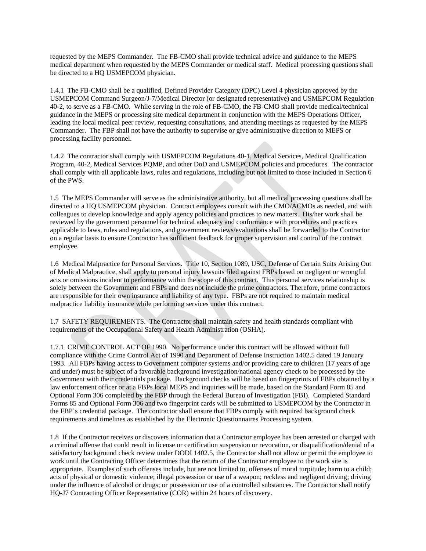requested by the MEPS Commander. The FB-CMO shall provide technical advice and guidance to the MEPS medical department when requested by the MEPS Commander or medical staff. Medical processing questions shall be directed to a HQ USMEPCOM physician.

1.4.1 The FB-CMO shall be a qualified, Defined Provider Category (DPC) Level 4 physician approved by the USMEPCOM Command Surgeon/J-7/Medical Director (or designated representative) and USMEPCOM Regulation 40-2, to serve as a FB-CMO. While serving in the role of FB-CMO, the FB-CMO shall provide medical/technical guidance in the MEPS or processing site medical department in conjunction with the MEPS Operations Officer, leading the local medical peer review, requesting consultations, and attending meetings as requested by the MEPS Commander. The FBP shall not have the authority to supervise or give administrative direction to MEPS or processing facility personnel.

1.4.2 The contractor shall comply with USMEPCOM Regulations 40-1, Medical Services, Medical Qualification Program, 40-2, Medical Services PQMP, and other DoD and USMEPCOM policies and procedures. The contractor shall comply with all applicable laws, rules and regulations, including but not limited to those included in Section 6 of the PWS.

1.5 The MEPS Commander will serve as the administrative authority, but all medical processing questions shall be directed to a HQ USMEPCOM physician. Contract employees consult with the CMO/ACMOs as needed, and with colleagues to develop knowledge and apply agency policies and practices to new matters. His/her work shall be reviewed by the government personnel for technical adequacy and conformance with procedures and practices applicable to laws, rules and regulations, and government reviews/evaluations shall be forwarded to the Contractor on a regular basis to ensure Contractor has sufficient feedback for proper supervision and control of the contract employee.

1.6 Medical Malpractice for Personal Services. Title 10, Section 1089, USC, Defense of Certain Suits Arising Out of Medical Malpractice, shall apply to personal injury lawsuits filed against FBPs based on negligent or wrongful acts or omissions incident to performance within the scope of this contract. This personal services relationship is solely between the Government and FBPs and does not include the prime contractors. Therefore, prime contractors are responsible for their own insurance and liability of any type. FBPs are not required to maintain medical malpractice liability insurance while performing services under this contract.

1.7 SAFETY REQUIREMENTS. The Contractor shall maintain safety and health standards compliant with requirements of the Occupational Safety and Health Administration (OSHA).

1.7.1 CRIME CONTROL ACT OF 1990. No performance under this contract will be allowed without full compliance with the Crime Control Act of 1990 and Department of Defense Instruction 1402.5 dated 19 January 1993. All FBPs having access to Government computer systems and/or providing care to children (17 years of age and under) must be subject of a favorable background investigation/national agency check to be processed by the Government with their credentials package. Background checks will be based on fingerprints of FBPs obtained by a law enforcement officer or at a FBPs local MEPS and inquiries will be made, based on the Standard Form 85 and Optional Form 306 completed by the FBP through the Federal Bureau of Investigation (FBI). Completed Standard Forms 85 and Optional Form 306 and two fingerprint cards will be submitted to USMEPCOM by the Contractor in the FBP's credential package. The contractor shall ensure that FBPs comply with required background check requirements and timelines as established by the Electronic Questionnaires Processing system.

1.8 If the Contractor receives or discovers information that a Contractor employee has been arrested or charged with a criminal offense that could result in license or certification suspension or revocation, or disqualification/denial of a satisfactory background check review under DODI 1402.5, the Contractor shall not allow or permit the employee to work until the Contracting Officer determines that the return of the Contractor employee to the work site is appropriate. Examples of such offenses include, but are not limited to, offenses of moral turpitude; harm to a child; acts of physical or domestic violence; illegal possession or use of a weapon; reckless and negligent driving; driving under the influence of alcohol or drugs; or possession or use of a controlled substances. The Contractor shall notify HQ-J7 Contracting Officer Representative (COR) within 24 hours of discovery.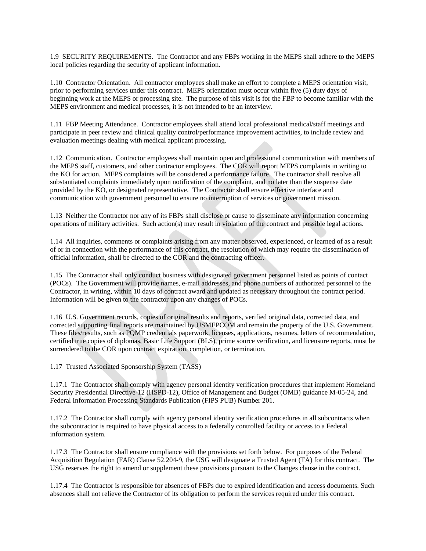1.9 SECURITY REQUIREMENTS. The Contractor and any FBPs working in the MEPS shall adhere to the MEPS local policies regarding the security of applicant information.

1.10 Contractor Orientation. All contractor employees shall make an effort to complete a MEPS orientation visit, prior to performing services under this contract. MEPS orientation must occur within five (5) duty days of beginning work at the MEPS or processing site. The purpose of this visit is for the FBP to become familiar with the MEPS environment and medical processes, it is not intended to be an interview.

1.11 FBP Meeting Attendance. Contractor employees shall attend local professional medical/staff meetings and participate in peer review and clinical quality control/performance improvement activities, to include review and evaluation meetings dealing with medical applicant processing.

1.12 Communication. Contractor employees shall maintain open and professional communication with members of the MEPS staff, customers, and other contractor employees. The COR will report MEPS complaints in writing to the KO for action. MEPS complaints will be considered a performance failure. The contractor shall resolve all substantiated complaints immediately upon notification of the complaint, and no later than the suspense date provided by the KO, or designated representative. The Contractor shall ensure effective interface and communication with government personnel to ensure no interruption of services or government mission.

1.13 Neither the Contractor nor any of its FBPs shall disclose or cause to disseminate any information concerning operations of military activities. Such action(s) may result in violation of the contract and possible legal actions.

1.14 All inquiries, comments or complaints arising from any matter observed, experienced, or learned of as a result of or in connection with the performance of this contract, the resolution of which may require the dissemination of official information, shall be directed to the COR and the contracting officer.

1.15 The Contractor shall only conduct business with designated government personnel listed as points of contact (POCs). The Government will provide names, e-mail addresses, and phone numbers of authorized personnel to the Contractor, in writing, within 10 days of contract award and updated as necessary throughout the contract period. Information will be given to the contractor upon any changes of POCs.

1.16 U.S. Government records, copies of original results and reports, verified original data, corrected data, and corrected supporting final reports are maintained by USMEPCOM and remain the property of the U.S. Government. These files/results, such as PQMP credentials paperwork, licenses, applications, resumes, letters of recommendation, certified true copies of diplomas, Basic Life Support (BLS), prime source verification, and licensure reports, must be surrendered to the COR upon contract expiration, completion, or termination.

1.17 Trusted Associated Sponsorship System (TASS)

1.17.1 The Contractor shall comply with agency personal identity verification procedures that implement Homeland Security Presidential Directive-12 (HSPD-12), Office of Management and Budget (OMB) guidance M-05-24, and Federal Information Processing Standards Publication (FIPS PUB) Number 201.

1.17.2 The Contractor shall comply with agency personal identity verification procedures in all subcontracts when the subcontractor is required to have physical access to a federally controlled facility or access to a Federal information system.

1.17.3 The Contractor shall ensure compliance with the provisions set forth below. For purposes of the Federal Acquisition Regulation (FAR) Clause 52.204-9, the USG will designate a Trusted Agent (TA) for this contract. The USG reserves the right to amend or supplement these provisions pursuant to the Changes clause in the contract.

1.17.4 The Contractor is responsible for absences of FBPs due to expired identification and access documents. Such absences shall not relieve the Contractor of its obligation to perform the services required under this contract.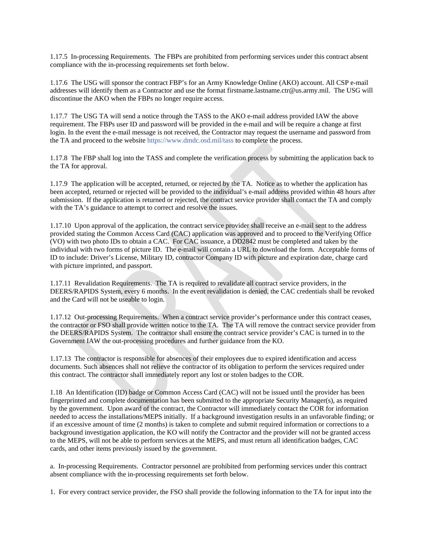1.17.5 In-processing Requirements. The FBPs are prohibited from performing services under this contract absent compliance with the in-processing requirements set forth below.

1.17.6 The USG will sponsor the contract FBP's for an Army Knowledge Online (AKO) account. All CSP e-mail addresses will identify them as a Contractor and use the format firstname.lastname.ctr@us.army.mil. The USG will discontinue the AKO when the FBPs no longer require access.

1.17.7 The USG TA will send a notice through the TASS to the AKO e-mail address provided IAW the above requirement. The FBPs user ID and password will be provided in the e-mail and will be require a change at first login. In the event the e-mail message is not received, the Contractor may request the username and password from the TA and proceed to the websit[e https://www.dmdc.osd.mil/tass](https://www.dmdc.osd.mil/tass) to complete the process.

1.17.8 The FBP shall log into the TASS and complete the verification process by submitting the application back to the TA for approval.

1.17.9 The application will be accepted, returned, or rejected by the TA. Notice as to whether the application has been accepted, returned or rejected will be provided to the individual's e-mail address provided within 48 hours after submission. If the application is returned or rejected, the contract service provider shall contact the TA and comply with the TA's guidance to attempt to correct and resolve the issues.

1.17.10 Upon approval of the application, the contract service provider shall receive an e-mail sent to the address provided stating the Common Access Card (CAC) application was approved and to proceed to the Verifying Office (VO) with two photo IDs to obtain a CAC. For CAC issuance, a DD2842 must be completed and taken by the individual with two forms of picture ID. The e-mail will contain a URL to download the form. Acceptable forms of ID to include: Driver's License, Military ID, contractor Company ID with picture and expiration date, charge card with picture imprinted, and passport.

1.17.11 Revalidation Requirements. The TA is required to revalidate all contract service providers, in the DEERS/RAPIDS System, every 6 months. In the event revalidation is denied, the CAC credentials shall be revoked and the Card will not be useable to login.

1.17.12 Out-processing Requirements. When a contract service provider's performance under this contract ceases, the contractor or FSO shall provide written notice to the TA. The TA will remove the contract service provider from the DEERS/RAPIDS System. The contractor shall ensure the contract service provider's CAC is turned in to the Government IAW the out-processing procedures and further guidance from the KO.

1.17.13 The contractor is responsible for absences of their employees due to expired identification and access documents. Such absences shall not relieve the contractor of its obligation to perform the services required under this contract. The contractor shall immediately report any lost or stolen badges to the COR.

1.18 An Identification (ID) badge or Common Access Card (CAC) will not be issued until the provider has been fingerprinted and complete documentation has been submitted to the appropriate Security Manager(s), as required by the government. Upon award of the contract, the Contractor will immediately contact the COR for information needed to access the installations/MEPS initially. If a background investigation results in an unfavorable finding; or if an excessive amount of time (2 months) is taken to complete and submit required information or corrections to a background investigation application, the KO will notify the Contractor and the provider will not be granted access to the MEPS, will not be able to perform services at the MEPS, and must return all identification badges, CAC cards, and other items previously issued by the government.

a. In-processing Requirements. Contractor personnel are prohibited from performing services under this contract absent compliance with the in-processing requirements set forth below.

1. For every contract service provider, the FSO shall provide the following information to the TA for input into the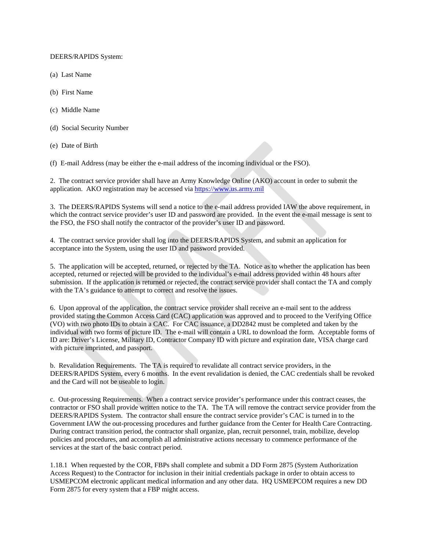### DEERS/RAPIDS System:

- (a) Last Name
- (b) First Name
- (c) Middle Name
- (d) Social Security Number
- (e) Date of Birth

(f) E-mail Address (may be either the e-mail address of the incoming individual or the FSO).

2. The contract service provider shall have an Army Knowledge Online (AKO) account in order to submit the application. AKO registration may be accessed via [https://www.us.army.mil](https://www.us.army.mil/)

3. The DEERS/RAPIDS Systems will send a notice to the e-mail address provided IAW the above requirement, in which the contract service provider's user ID and password are provided. In the event the e-mail message is sent to the FSO, the FSO shall notify the contractor of the provider's user ID and password.

4. The contract service provider shall log into the DEERS/RAPIDS System, and submit an application for acceptance into the System, using the user ID and password provided.

5. The application will be accepted, returned, or rejected by the TA. Notice as to whether the application has been accepted, returned or rejected will be provided to the individual's e-mail address provided within 48 hours after submission. If the application is returned or rejected, the contract service provider shall contact the TA and comply with the TA's guidance to attempt to correct and resolve the issues.

6. Upon approval of the application, the contract service provider shall receive an e-mail sent to the address provided stating the Common Access Card (CAC) application was approved and to proceed to the Verifying Office (VO) with two photo IDs to obtain a CAC. For CAC issuance, a DD2842 must be completed and taken by the individual with two forms of picture ID. The e-mail will contain a URL to download the form. Acceptable forms of ID are: Driver's License, Military ID, Contractor Company ID with picture and expiration date, VISA charge card with picture imprinted, and passport.

b. Revalidation Requirements. The TA is required to revalidate all contract service providers, in the DEERS/RAPIDS System, every 6 months. In the event revalidation is denied, the CAC credentials shall be revoked and the Card will not be useable to login.

c. Out-processing Requirements. When a contract service provider's performance under this contract ceases, the contractor or FSO shall provide written notice to the TA. The TA will remove the contract service provider from the DEERS/RAPIDS System. The contractor shall ensure the contract service provider's CAC is turned in to the Government IAW the out-processing procedures and further guidance from the Center for Health Care Contracting. During contract transition period, the contractor shall organize, plan, recruit personnel, train, mobilize, develop policies and procedures, and accomplish all administrative actions necessary to commence performance of the services at the start of the basic contract period.

1.18.1 When requested by the COR, FBPs shall complete and submit a DD Form 2875 (System Authorization Access Request) to the Contractor for inclusion in their initial credentials package in order to obtain access to USMEPCOM electronic applicant medical information and any other data. HQ USMEPCOM requires a new DD Form 2875 for every system that a FBP might access.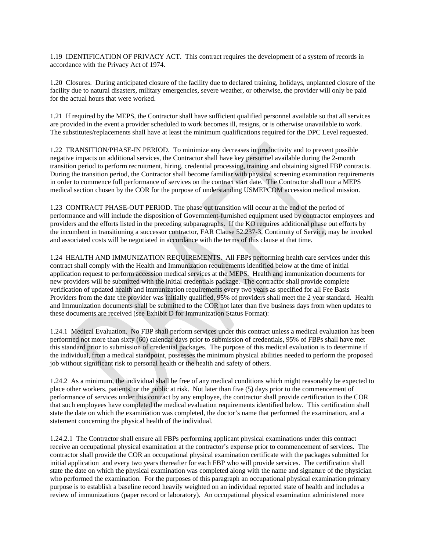1.19 IDENTIFICATION OF PRIVACY ACT. This contract requires the development of a system of records in accordance with the Privacy Act of 1974.

1.20 Closures. During anticipated closure of the facility due to declared training, holidays, unplanned closure of the facility due to natural disasters, military emergencies, severe weather, or otherwise, the provider will only be paid for the actual hours that were worked.

1.21 If required by the MEPS, the Contractor shall have sufficient qualified personnel available so that all services are provided in the event a provider scheduled to work becomes ill, resigns, or is otherwise unavailable to work. The substitutes/replacements shall have at least the minimum qualifications required for the DPC Level requested.

1.22 TRANSITION/PHASE-IN PERIOD. To minimize any decreases in productivity and to prevent possible negative impacts on additional services, the Contractor shall have key personnel available during the 2-month transition period to perform recruitment, hiring, credential processing, training and obtaining signed FBP contracts. During the transition period, the Contractor shall become familiar with physical screening examination requirements in order to commence full performance of services on the contract start date. The Contractor shall tour a MEPS medical section chosen by the COR for the purpose of understanding USMEPCOM accession medical mission.

1.23 CONTRACT PHASE-OUT PERIOD. The phase out transition will occur at the end of the period of performance and will include the disposition of Government-furnished equipment used by contractor employees and providers and the efforts listed in the preceding subparagraphs. If the KO requires additional phase out efforts by the incumbent in transitioning a successor contractor, FAR Clause 52.237-3, Continuity of Service, may be invoked and associated costs will be negotiated in accordance with the terms of this clause at that time.

1.24 HEALTH AND IMMUNIZATION REQUIREMENTS. All FBPs performing health care services under this contract shall comply with the Health and Immunization requirements identified below at the time of initial application request to perform accession medical services at the MEPS. Health and immunization documents for new providers will be submitted with the initial credentials package. The contractor shall provide complete verification of updated health and immunization requirements every two years as specified for all Fee Basis Providers from the date the provider was initially qualified, 95% of providers shall meet the 2 year standard. Health and Immunization documents shall be submitted to the COR not later than five business days from when updates to these documents are received (see Exhibit D for Immunization Status Format):

1.24.1 Medical Evaluation. No FBP shall perform services under this contract unless a medical evaluation has been performed not more than sixty (60) calendar days prior to submission of credentials, 95% of FBPs shall have met this standard prior to submission of credential packages. The purpose of this medical evaluation is to determine if the individual, from a medical standpoint, possesses the minimum physical abilities needed to perform the proposed job without significant risk to personal health or the health and safety of others.

1.24.2 As a minimum, the individual shall be free of any medical conditions which might reasonably be expected to place other workers, patients, or the public at risk. Not later than five (5) days prior to the commencement of performance of services under this contract by any employee, the contractor shall provide certification to the COR that such employees have completed the medical evaluation requirements identified below. This certification shall state the date on which the examination was completed, the doctor's name that performed the examination, and a statement concerning the physical health of the individual.

1.24.2.1 The Contractor shall ensure all FBPs performing applicant physical examinations under this contract receive an occupational physical examination at the contractor's expense prior to commencement of services. The contractor shall provide the COR an occupational physical examination certificate with the packages submitted for initial application and every two years thereafter for each FBP who will provide services. The certification shall state the date on which the physical examination was completed along with the name and signature of the physician who performed the examination. For the purposes of this paragraph an occupational physical examination primary purpose is to establish a baseline record heavily weighted on an individual reported state of health and includes a review of immunizations (paper record or laboratory). An occupational physical examination administered more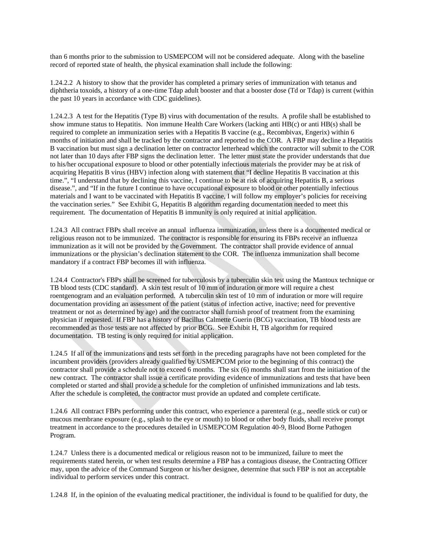than 6 months prior to the submission to USMEPCOM will not be considered adequate. Along with the baseline record of reported state of health, the physical examination shall include the following:

1.24.2.2 A history to show that the provider has completed a primary series of immunization with tetanus and diphtheria toxoids, a history of a one-time Tdap adult booster and that a booster dose (Td or Tdap) is current (within the past 10 years in accordance with CDC guidelines).

1.24.2.3 A test for the Hepatitis (Type B) virus with documentation of the results. A profile shall be established to show immune status to Hepatitis. Non immune Health Care Workers (lacking anti HB(c) or anti HB(s) shall be required to complete an immunization series with a Hepatitis B vaccine (e.g., Recombivax, Engerix) within 6 months of initiation and shall be tracked by the contractor and reported to the COR. A FBP may decline a Hepatitis B vaccination but must sign a declination letter on contractor letterhead which the contractor will submit to the COR not later than 10 days after FBP signs the declination letter. The letter must state the provider understands that due to his/her occupational exposure to blood or other potentially infectious materials the provider may be at risk of acquiring Hepatitis B virus (HBV) infection along with statement that "I decline Hepatitis B vaccination at this time.", "I understand that by declining this vaccine, I continue to be at risk of acquiring Hepatitis B, a serious disease.", and "If in the future I continue to have occupational exposure to blood or other potentially infectious materials and I want to be vaccinated with Hepatitis B vaccine, I will follow my employer's policies for receiving the vaccination series." See Exhibit G, Hepatitis B algorithm regarding documentation needed to meet this requirement. The documentation of Hepatitis B immunity is only required at initial application.

1.24.3 All contract FBPs shall receive an annual influenza immunization, unless there is a documented medical or religious reason not to be immunized. The contractor is responsible for ensuring its FBPs receive an influenza immunization as it will not be provided by the Government. The contractor shall provide evidence of annual immunizations or the physician's declination statement to the COR. The influenza immunization shall become mandatory if a contract FBP becomes ill with influenza.

1.24.4 Contractor's FBPs shall be screened for tuberculosis by a tuberculin skin test using the Mantoux technique or TB blood tests (CDC standard). A skin test result of 10 mm of induration or more will require a chest roentgenogram and an evaluation performed. A tuberculin skin test of 10 mm of induration or more will require documentation providing an assessment of the patient (status of infection active, inactive; need for preventive treatment or not as determined by age) and the contractor shall furnish proof of treatment from the examining physician if requested. If FBP has a history of Bacillus Calmette Guerin (BCG) vaccination, TB blood tests are recommended as those tests are not affected by prior BCG. See Exhibit H, TB algorithm for required documentation. TB testing is only required for initial application.

1.24.5 If all of the immunizations and tests set forth in the preceding paragraphs have not been completed for the incumbent providers (providers already qualified by USMEPCOM prior to the beginning of this contract) the contractor shall provide a schedule not to exceed 6 months. The six (6) months shall start from the initiation of the new contract. The contractor shall issue a certificate providing evidence of immunizations and tests that have been completed or started and shall provide a schedule for the completion of unfinished immunizations and lab tests. After the schedule is completed, the contractor must provide an updated and complete certificate.

1.24.6 All contract FBPs performing under this contract, who experience a parenteral (e.g., needle stick or cut) or mucous membrane exposure (e.g., splash to the eye or mouth) to blood or other body fluids, shall receive prompt treatment in accordance to the procedures detailed in USMEPCOM Regulation 40-9, Blood Borne Pathogen Program.

1.24.7 Unless there is a documented medical or religious reason not to be immunized, failure to meet the requirements stated herein, or when test results determine a FBP has a contagious disease, the Contracting Officer may, upon the advice of the Command Surgeon or his/her designee, determine that such FBP is not an acceptable individual to perform services under this contract.

1.24.8 If, in the opinion of the evaluating medical practitioner, the individual is found to be qualified for duty, the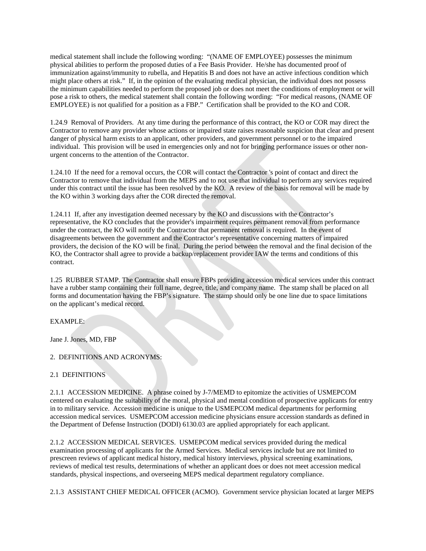medical statement shall include the following wording: "(NAME OF EMPLOYEE) possesses the minimum physical abilities to perform the proposed duties of a Fee Basis Provider. He/she has documented proof of immunization against/immunity to rubella, and Hepatitis B and does not have an active infectious condition which might place others at risk." If, in the opinion of the evaluating medical physician, the individual does not possess the minimum capabilities needed to perform the proposed job or does not meet the conditions of employment or will pose a risk to others, the medical statement shall contain the following wording: "For medical reasons, (NAME OF EMPLOYEE) is not qualified for a position as a FBP." Certification shall be provided to the KO and COR.

1.24.9 Removal of Providers. At any time during the performance of this contract, the KO or COR may direct the Contractor to remove any provider whose actions or impaired state raises reasonable suspicion that clear and present danger of physical harm exists to an applicant, other providers, and government personnel or to the impaired individual. This provision will be used in emergencies only and not for bringing performance issues or other nonurgent concerns to the attention of the Contractor.

1.24.10 If the need for a removal occurs, the COR will contact the Contractor 's point of contact and direct the Contractor to remove that individual from the MEPS and to not use that individual to perform any services required under this contract until the issue has been resolved by the KO. A review of the basis for removal will be made by the KO within 3 working days after the COR directed the removal.

1.24.11 If, after any investigation deemed necessary by the KO and discussions with the Contractor's representative, the KO concludes that the provider's impairment requires permanent removal from performance under the contract, the KO will notify the Contractor that permanent removal is required. In the event of disagreements between the government and the Contractor's representative concerning matters of impaired providers, the decision of the KO will be final. During the period between the removal and the final decision of the KO, the Contractor shall agree to provide a backup/replacement provider IAW the terms and conditions of this contract.

1.25 RUBBER STAMP. The Contractor shall ensure FBPs providing accession medical services under this contract have a rubber stamp containing their full name, degree, title, and company name. The stamp shall be placed on all forms and documentation having the FBP's signature. The stamp should only be one line due to space limitations on the applicant's medical record.

EXAMPLE:

Jane J. Jones, MD, FBP

2. DEFINITIONS AND ACRONYMS:

2.1 DEFINITIONS

2.1.1 ACCESSION MEDICINE. A phrase coined by J-7/MEMD to epitomize the activities of USMEPCOM centered on evaluating the suitability of the moral, physical and mental condition of prospective applicants for entry in to military service. Accession medicine is unique to the USMEPCOM medical departments for performing accession medical services. USMEPCOM accession medicine physicians ensure accession standards as defined in the Department of Defense Instruction (DODI) 6130.03 are applied appropriately for each applicant.

2.1.2 ACCESSION MEDICAL SERVICES. USMEPCOM medical services provided during the medical examination processing of applicants for the Armed Services. Medical services include but are not limited to prescreen reviews of applicant medical history, medical history interviews, physical screening examinations, reviews of medical test results, determinations of whether an applicant does or does not meet accession medical standards, physical inspections, and overseeing MEPS medical department regulatory compliance.

2.1.3 ASSISTANT CHIEF MEDICAL OFFICER (ACMO). Government service physician located at larger MEPS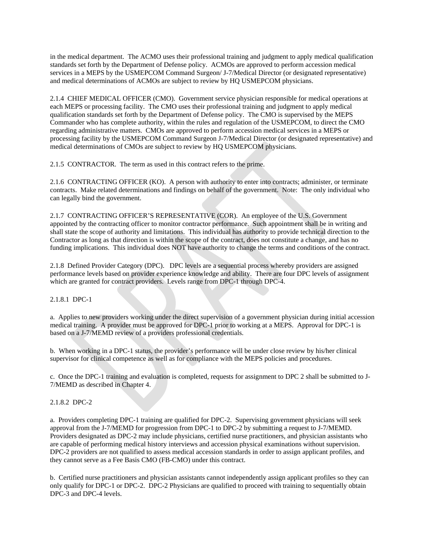in the medical department. The ACMO uses their professional training and judgment to apply medical qualification standards set forth by the Department of Defense policy. ACMOs are approved to perform accession medical services in a MEPS by the USMEPCOM Command Surgeon/ J-7/Medical Director (or designated representative) and medical determinations of ACMOs are subject to review by HQ USMEPCOM physicians.

2.1.4 CHIEF MEDICAL OFFICER (CMO). Government service physician responsible for medical operations at each MEPS or processing facility. The CMO uses their professional training and judgment to apply medical qualification standards set forth by the Department of Defense policy. The CMO is supervised by the MEPS Commander who has complete authority, within the rules and regulation of the USMEPCOM, to direct the CMO regarding administrative matters. CMOs are approved to perform accession medical services in a MEPS or processing facility by the USMEPCOM Command Surgeon J-7/Medical Director (or designated representative) and medical determinations of CMOs are subject to review by HQ USMEPCOM physicians.

2.1.5 CONTRACTOR. The term as used in this contract refers to the prime.

2.1.6 CONTRACTING OFFICER (KO). A person with authority to enter into contracts; administer, or terminate contracts. Make related determinations and findings on behalf of the government. Note: The only individual who can legally bind the government.

2.1.7 CONTRACTING OFFICER'S REPRESENTATIVE (COR). An employee of the U.S. Government appointed by the contracting officer to monitor contractor performance. Such appointment shall be in writing and shall state the scope of authority and limitations. This individual has authority to provide technical direction to the Contractor as long as that direction is within the scope of the contract, does not constitute a change, and has no funding implications. This individual does NOT have authority to change the terms and conditions of the contract.

2.1.8 Defined Provider Category (DPC). DPC levels are a sequential process whereby providers are assigned performance levels based on provider experience knowledge and ability. There are four DPC levels of assignment which are granted for contract providers. Levels range from DPC-1 through DPC-4.

2.1.8.1 DPC-1

a. Applies to new providers working under the direct supervision of a government physician during initial accession medical training. A provider must be approved for DPC-1 prior to working at a MEPS. Approval for DPC-1 is based on a J-7/MEMD review of a providers professional credentials.

b. When working in a DPC-1 status, the provider's performance will be under close review by his/her clinical supervisor for clinical competence as well as for compliance with the MEPS policies and procedures.

c. Once the DPC-1 training and evaluation is completed, requests for assignment to DPC 2 shall be submitted to J-7/MEMD as described in Chapter 4.

2.1.8.2 DPC-2

a. Providers completing DPC-1 training are qualified for DPC-2. Supervising government physicians will seek approval from the J-7/MEMD for progression from DPC-1 to DPC-2 by submitting a request to J-7/MEMD. Providers designated as DPC-2 may include physicians, certified nurse practitioners, and physician assistants who are capable of performing medical history interviews and accession physical examinations without supervision. DPC-2 providers are not qualified to assess medical accession standards in order to assign applicant profiles, and they cannot serve as a Fee Basis CMO (FB-CMO) under this contract.

b. Certified nurse practitioners and physician assistants cannot independently assign applicant profiles so they can only qualify for DPC-1 or DPC-2. DPC-2 Physicians are qualified to proceed with training to sequentially obtain DPC-3 and DPC-4 levels.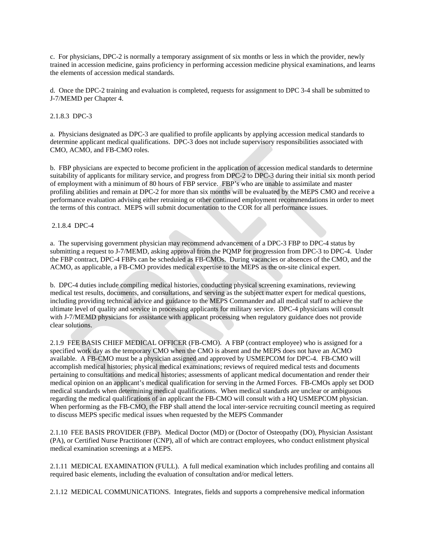c. For physicians, DPC-2 is normally a temporary assignment of six months or less in which the provider, newly trained in accession medicine, gains proficiency in performing accession medicine physical examinations, and learns the elements of accession medical standards.

d. Once the DPC-2 training and evaluation is completed, requests for assignment to DPC 3-4 shall be submitted to J-7/MEMD per Chapter 4.

2.1.8.3 DPC-3

a. Physicians designated as DPC-3 are qualified to profile applicants by applying accession medical standards to determine applicant medical qualifications. DPC-3 does not include supervisory responsibilities associated with CMO, ACMO, and FB-CMO roles.

b. FBP physicians are expected to become proficient in the application of accession medical standards to determine suitability of applicants for military service, and progress from DPC-2 to DPC-3 during their initial six month period of employment with a minimum of 80 hours of FBP service. FBP's who are unable to assimilate and master profiling abilities and remain at DPC-2 for more than six months will be evaluated by the MEPS CMO and receive a performance evaluation advising either retraining or other continued employment recommendations in order to meet the terms of this contract. MEPS will submit documentation to the COR for all performance issues.

2.1.8.4 DPC-4

a. The supervising government physician may recommend advancement of a DPC-3 FBP to DPC-4 status by submitting a request to J-7/MEMD, asking approval from the PQMP for progression from DPC-3 to DPC-4. Under the FBP contract, DPC-4 FBPs can be scheduled as FB-CMOs. During vacancies or absences of the CMO, and the ACMO, as applicable, a FB-CMO provides medical expertise to the MEPS as the on-site clinical expert.

b. DPC-4 duties include compiling medical histories, conducting physical screening examinations, reviewing medical test results, documents, and consultations, and serving as the subject matter expert for medical questions, including providing technical advice and guidance to the MEPS Commander and all medical staff to achieve the ultimate level of quality and service in processing applicants for military service. DPC-4 physicians will consult with J-7/MEMD physicians for assistance with applicant processing when regulatory guidance does not provide clear solutions.

2.1.9 FEE BASIS CHIEF MEDICAL OFFICER (FB-CMO). A FBP (contract employee) who is assigned for a specified work day as the temporary CMO when the CMO is absent and the MEPS does not have an ACMO available. A FB-CMO must be a physician assigned and approved by USMEPCOM for DPC-4. FB-CMO will accomplish medical histories; physical medical examinations; reviews of required medical tests and documents pertaining to consultations and medical histories; assessments of applicant medical documentation and render their medical opinion on an applicant's medical qualification for serving in the Armed Forces. FB-CMOs apply set DOD medical standards when determining medical qualifications. When medical standards are unclear or ambiguous regarding the medical qualifications of an applicant the FB-CMO will consult with a HQ USMEPCOM physician. When performing as the FB-CMO, the FBP shall attend the local inter-service recruiting council meeting as required to discuss MEPS specific medical issues when requested by the MEPS Commander

2.1.10 FEE BASIS PROVIDER (FBP). Medical Doctor (MD) or (Doctor of Osteopathy (DO), Physician Assistant (PA), or Certified Nurse Practitioner (CNP), all of which are contract employees, who conduct enlistment physical medical examination screenings at a MEPS.

2.1.11 MEDICAL EXAMINATION (FULL). A full medical examination which includes profiling and contains all required basic elements, including the evaluation of consultation and/or medical letters.

2.1.12 MEDICAL COMMUNICATIONS. Integrates, fields and supports a comprehensive medical information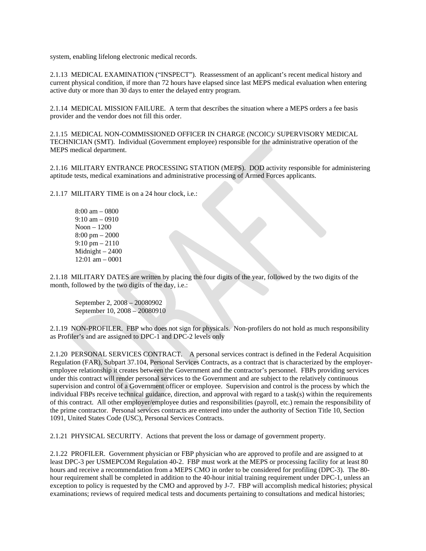system, enabling lifelong electronic medical records.

2.1.13 MEDICAL EXAMINATION ("INSPECT"). Reassessment of an applicant's recent medical history and current physical condition, if more than 72 hours have elapsed since last MEPS medical evaluation when entering active duty or more than 30 days to enter the delayed entry program.

2.1.14 MEDICAL MISSION FAILURE. A term that describes the situation where a MEPS orders a fee basis provider and the vendor does not fill this order.

2.1.15 MEDICAL NON-COMMISSIONED OFFICER IN CHARGE (NCOIC)/ SUPERVISORY MEDICAL TECHNICIAN (SMT). Individual (Government employee) responsible for the administrative operation of the MEPS medical department.

2.1.16 MILITARY ENTRANCE PROCESSING STATION (MEPS). DOD activity responsible for administering aptitude tests, medical examinations and administrative processing of Armed Forces applicants.

2.1.17 MILITARY TIME is on a 24 hour clock, i.e.:

8:00 am – 0800 9:10 am – 0910 Noon – 1200 8:00 pm – 2000 9:10 pm – 2110 Midnight – 2400 12:01 am – 0001

2.1.18 MILITARY DATES are written by placing the four digits of the year, followed by the two digits of the month, followed by the two digits of the day, i.e.:

September 2, 2008 – 20080902 September 10, 2008 – 20080910

2.1.19 NON-PROFILER. FBP who does not sign for physicals. Non-profilers do not hold as much responsibility as Profiler's and are assigned to DPC-1 and DPC-2 levels only

2.1.20 PERSONAL SERVICES CONTRACT. A personal services contract is defined in the Federal Acquisition Regulation (FAR), Subpart 37.104, Personal Services Contracts, as a contract that is characterized by the employeremployee relationship it creates between the Government and the contractor's personnel. FBPs providing services under this contract will render personal services to the Government and are subject to the relatively continuous supervision and control of a Government officer or employee. Supervision and control is the process by which the individual FBPs receive technical guidance, direction, and approval with regard to a task(s) within the requirements of this contract. All other employer/employee duties and responsibilities (payroll, etc.) remain the responsibility of the prime contractor. Personal services contracts are entered into under the authority of Section Title 10, Section 1091, United States Code (USC), Personal Services Contracts.

2.1.21 PHYSICAL SECURITY. Actions that prevent the loss or damage of government property.

2.1.22 PROFILER. Government physician or FBP physician who are approved to profile and are assigned to at least DPC-3 per USMEPCOM Regulation 40-2. FBP must work at the MEPS or processing facility for at least 80 hours and receive a recommendation from a MEPS CMO in order to be considered for profiling (DPC-3). The 80 hour requirement shall be completed in addition to the 40-hour initial training requirement under DPC-1, unless an exception to policy is requested by the CMO and approved by J-7. FBP will accomplish medical histories; physical examinations; reviews of required medical tests and documents pertaining to consultations and medical histories;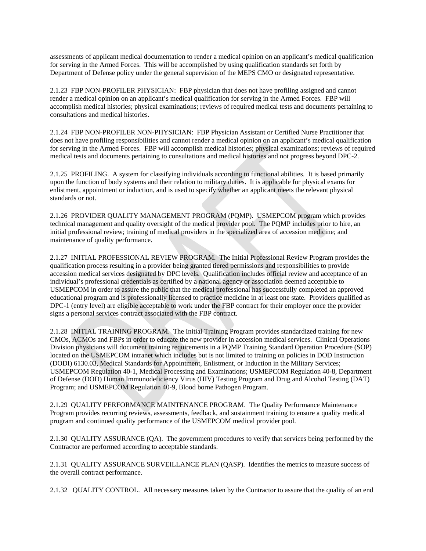assessments of applicant medical documentation to render a medical opinion on an applicant's medical qualification for serving in the Armed Forces. This will be accomplished by using qualification standards set forth by Department of Defense policy under the general supervision of the MEPS CMO or designated representative.

2.1.23 FBP NON-PROFILER PHYSICIAN: FBP physician that does not have profiling assigned and cannot render a medical opinion on an applicant's medical qualification for serving in the Armed Forces. FBP will accomplish medical histories; physical examinations; reviews of required medical tests and documents pertaining to consultations and medical histories.

2.1.24 FBP NON-PROFILER NON-PHYSICIAN: FBP Physician Assistant or Certified Nurse Practitioner that does not have profiling responsibilities and cannot render a medical opinion on an applicant's medical qualification for serving in the Armed Forces. FBP will accomplish medical histories; physical examinations; reviews of required medical tests and documents pertaining to consultations and medical histories and not progress beyond DPC-2.

2.1.25 PROFILING. A system for classifying individuals according to functional abilities. It is based primarily upon the function of body systems and their relation to military duties. It is applicable for physical exams for enlistment, appointment or induction, and is used to specify whether an applicant meets the relevant physical standards or not.

2.1.26 PROVIDER QUALITY MANAGEMENT PROGRAM (PQMP). USMEPCOM program which provides technical management and quality oversight of the medical provider pool. The PQMP includes prior to hire, an initial professional review; training of medical providers in the specialized area of accession medicine; and maintenance of quality performance.

2.1.27 INITIAL PROFESSIONAL REVIEW PROGRAM. The Initial Professional Review Program provides the qualification process resulting in a provider being granted tiered permissions and responsibilities to provide accession medical services designated by DPC levels. Qualification includes official review and acceptance of an individual's professional credentials as certified by a national agency or association deemed acceptable to USMEPCOM in order to assure the public that the medical professional has successfully completed an approved educational program and is professionally licensed to practice medicine in at least one state. Providers qualified as DPC-1 (entry level) are eligible acceptable to work under the FBP contract for their employer once the provider signs a personal services contract associated with the FBP contract.

2.1.28 INITIAL TRAINING PROGRAM. The Initial Training Program provides standardized training for new CMOs, ACMOs and FBPs in order to educate the new provider in accession medical services. Clinical Operations Division physicians will document training requirements in a PQMP Training Standard Operation Procedure (SOP) located on the USMEPCOM intranet which includes but is not limited to training on policies in DOD Instruction (DODI) 6130.03, Medical Standards for Appointment, Enlistment, or Induction in the Military Services; USMEPCOM Regulation 40-1, Medical Processing and Examinations; USMEPCOM Regulation 40-8, Department of Defense (DOD) Human Immunodeficiency Virus (HIV) Testing Program and Drug and Alcohol Testing (DAT) Program; and USMEPCOM Regulation 40-9, Blood borne Pathogen Program.

2.1.29 QUALITY PERFORMANCE MAINTENANCE PROGRAM. The Quality Performance Maintenance Program provides recurring reviews, assessments, feedback, and sustainment training to ensure a quality medical program and continued quality performance of the USMEPCOM medical provider pool.

2.1.30 QUALITY ASSURANCE (QA). The government procedures to verify that services being performed by the Contractor are performed according to acceptable standards.

2.1.31 QUALITY ASSURANCE SURVEILLANCE PLAN (QASP). Identifies the metrics to measure success of the overall contract performance.

2.1.32 QUALITY CONTROL. All necessary measures taken by the Contractor to assure that the quality of an end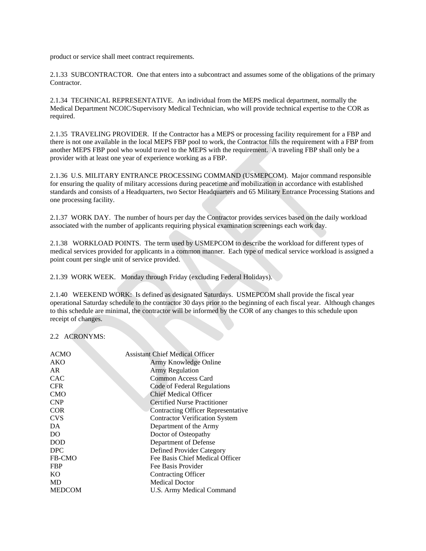product or service shall meet contract requirements.

2.1.33 SUBCONTRACTOR. One that enters into a subcontract and assumes some of the obligations of the primary Contractor.

2.1.34 TECHNICAL REPRESENTATIVE. An individual from the MEPS medical department, normally the Medical Department NCOIC/Supervisory Medical Technician, who will provide technical expertise to the COR as required.

2.1.35 TRAVELING PROVIDER. If the Contractor has a MEPS or processing facility requirement for a FBP and there is not one available in the local MEPS FBP pool to work, the Contractor fills the requirement with a FBP from another MEPS FBP pool who would travel to the MEPS with the requirement. A traveling FBP shall only be a provider with at least one year of experience working as a FBP.

2.1.36 U.S. MILITARY ENTRANCE PROCESSING COMMAND (USMEPCOM). Major command responsible for ensuring the quality of military accessions during peacetime and mobilization in accordance with established standards and consists of a Headquarters, two Sector Headquarters and 65 Military Entrance Processing Stations and one processing facility.

2.1.37 WORK DAY. The number of hours per day the Contractor provides services based on the daily workload associated with the number of applicants requiring physical examination screenings each work day.

2.1.38 WORKLOAD POINTS. The term used by USMEPCOM to describe the workload for different types of medical services provided for applicants in a common manner. Each type of medical service workload is assigned a point count per single unit of service provided.

2.1.39 WORK WEEK. Monday through Friday (excluding Federal Holidays).

2.1.40 WEEKEND WORK: Is defined as designated Saturdays. USMEPCOM shall provide the fiscal year operational Saturday schedule to the contractor 30 days prior to the beginning of each fiscal year. Although changes to this schedule are minimal, the contractor will be informed by the COR of any changes to this schedule upon receipt of changes.

2.2 ACRONYMS:

| ACMO          | <b>Assistant Chief Medical Officer</b>    |
|---------------|-------------------------------------------|
| AKO           | Army Knowledge Online                     |
| AR.           | <b>Army Regulation</b>                    |
| CAC           | Common Access Card                        |
| <b>CFR</b>    | Code of Federal Regulations               |
| <b>CMO</b>    | Chief Medical Officer                     |
| <b>CNP</b>    | <b>Certified Nurse Practitioner</b>       |
| <b>COR</b>    | <b>Contracting Officer Representative</b> |
| <b>CVS</b>    | <b>Contractor Verification System</b>     |
| DA.           | Department of the Army                    |
| DO            | Doctor of Osteopathy                      |
| <b>DOD</b>    | Department of Defense                     |
| <b>DPC</b>    | Defined Provider Category                 |
| FB-CMO        | Fee Basis Chief Medical Officer           |
| <b>FBP</b>    | Fee Basis Provider                        |
| <b>KO</b>     | Contracting Officer                       |
| MD            | <b>Medical Doctor</b>                     |
| <b>MEDCOM</b> | U.S. Army Medical Command                 |
|               |                                           |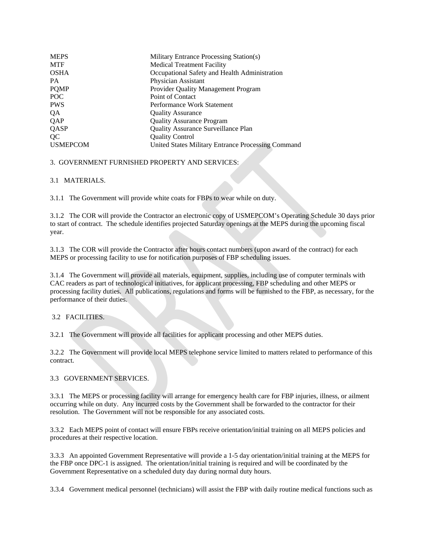| <b>MEPS</b>     | Military Entrance Processing Station(s)            |
|-----------------|----------------------------------------------------|
| <b>MTF</b>      | <b>Medical Treatment Facility</b>                  |
| <b>OSHA</b>     | Occupational Safety and Health Administration      |
| <b>PA</b>       | Physician Assistant                                |
| <b>PQMP</b>     | <b>Provider Quality Management Program</b>         |
| POC             | Point of Contact                                   |
| <b>PWS</b>      | Performance Work Statement                         |
| QA              | <b>Quality Assurance</b>                           |
| QAP             | <b>Quality Assurance Program</b>                   |
| QASP            | <b>Quality Assurance Surveillance Plan</b>         |
| OC              | <b>Quality Control</b>                             |
| <b>USMEPCOM</b> | United States Military Entrance Processing Command |
|                 |                                                    |

# 3. GOVERNMENT FURNISHED PROPERTY AND SERVICES:

# 3.1 MATERIALS.

3.1.1 The Government will provide white coats for FBPs to wear while on duty.

3.1.2 The COR will provide the Contractor an electronic copy of USMEPCOM's Operating Schedule 30 days prior to start of contract. The schedule identifies projected Saturday openings at the MEPS during the upcoming fiscal year.

3.1.3 The COR will provide the Contractor after hours contact numbers (upon award of the contract) for each MEPS or processing facility to use for notification purposes of FBP scheduling issues.

3.1.4 The Government will provide all materials, equipment, supplies, including use of computer terminals with CAC readers as part of technological initiatives, for applicant processing, FBP scheduling and other MEPS or processing facility duties. All publications, regulations and forms will be furnished to the FBP, as necessary, for the performance of their duties.

### 3.2 FACILITIES.

3.2.1 The Government will provide all facilities for applicant processing and other MEPS duties.

3.2.2 The Government will provide local MEPS telephone service limited to matters related to performance of this contract.

# 3.3 GOVERNMENT SERVICES.

3.3.1 The MEPS or processing facility will arrange for emergency health care for FBP injuries, illness, or ailment occurring while on duty. Any incurred costs by the Government shall be forwarded to the contractor for their resolution. The Government will not be responsible for any associated costs.

3.3.2 Each MEPS point of contact will ensure FBPs receive orientation/initial training on all MEPS policies and procedures at their respective location.

3.3.3 An appointed Government Representative will provide a 1-5 day orientation/initial training at the MEPS for the FBP once DPC-1 is assigned. The orientation/initial training is required and will be coordinated by the Government Representative on a scheduled duty day during normal duty hours.

3.3.4 Government medical personnel (technicians) will assist the FBP with daily routine medical functions such as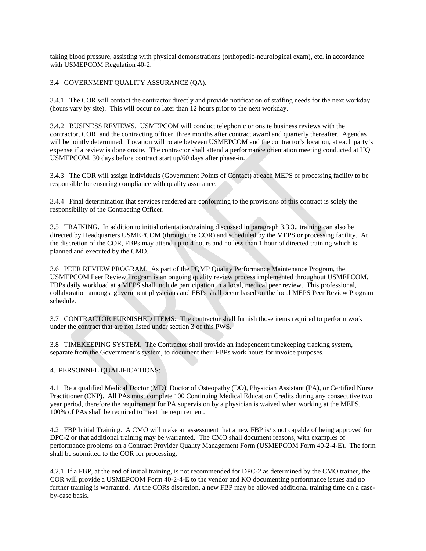taking blood pressure, assisting with physical demonstrations (orthopedic-neurological exam), etc. in accordance with USMEPCOM Regulation 40-2.

### 3.4 GOVERNMENT QUALITY ASSURANCE (QA).

3.4.1 The COR will contact the contractor directly and provide notification of staffing needs for the next workday (hours vary by site). This will occur no later than 12 hours prior to the next workday.

3.4.2 BUSINESS REVIEWS. USMEPCOM will conduct telephonic or onsite business reviews with the contractor, COR, and the contracting officer, three months after contract award and quarterly thereafter. Agendas will be jointly determined. Location will rotate between USMEPCOM and the contractor's location, at each party's expense if a review is done onsite. The contractor shall attend a performance orientation meeting conducted at HQ USMEPCOM, 30 days before contract start up/60 days after phase-in.

3.4.3 The COR will assign individuals (Government Points of Contact) at each MEPS or processing facility to be responsible for ensuring compliance with quality assurance.

3.4.4 Final determination that services rendered are conforming to the provisions of this contract is solely the responsibility of the Contracting Officer.

3.5 TRAINING. In addition to initial orientation/training discussed in paragraph 3.3.3., training can also be directed by Headquarters USMEPCOM (through the COR) and scheduled by the MEPS or processing facility. At the discretion of the COR, FBPs may attend up to 4 hours and no less than 1 hour of directed training which is planned and executed by the CMO.

3.6 PEER REVIEW PROGRAM. As part of the PQMP Quality Performance Maintenance Program, the USMEPCOM Peer Review Program is an ongoing quality review process implemented throughout USMEPCOM. FBPs daily workload at a MEPS shall include participation in a local, medical peer review. This professional, collaboration amongst government physicians and FBPs shall occur based on the local MEPS Peer Review Program schedule.

3.7 CONTRACTOR FURNISHED ITEMS: The contractor shall furnish those items required to perform work under the contract that are not listed under section 3 of this PWS.

3.8 TIMEKEEPING SYSTEM. The Contractor shall provide an independent timekeeping tracking system, separate from the Government's system, to document their FBPs work hours for invoice purposes.

# 4. PERSONNEL QUALIFICATIONS:

4.1 Be a qualified Medical Doctor (MD), Doctor of Osteopathy (DO), Physician Assistant (PA), or Certified Nurse Practitioner (CNP). All PAs must complete 100 Continuing Medical Education Credits during any consecutive two year period, therefore the requirement for PA supervision by a physician is waived when working at the MEPS, 100% of PAs shall be required to meet the requirement.

4.2 FBP Initial Training. A CMO will make an assessment that a new FBP is/is not capable of being approved for DPC-2 or that additional training may be warranted. The CMO shall document reasons, with examples of performance problems on a Contract Provider Quality Management Form (USMEPCOM Form 40-2-4-E). The form shall be submitted to the COR for processing.

4.2.1 If a FBP, at the end of initial training, is not recommended for DPC-2 as determined by the CMO trainer, the COR will provide a USMEPCOM Form 40-2-4-E to the vendor and KO documenting performance issues and no further training is warranted. At the CORs discretion, a new FBP may be allowed additional training time on a caseby-case basis.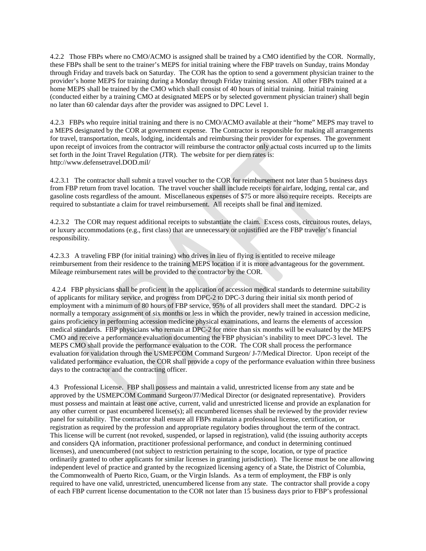4.2.2 Those FBPs where no CMO/ACMO is assigned shall be trained by a CMO identified by the COR. Normally, these FBPs shall be sent to the trainer's MEPS for initial training where the FBP travels on Sunday, trains Monday through Friday and travels back on Saturday. The COR has the option to send a government physician trainer to the provider's home MEPS for training during a Monday through Friday training session. All other FBPs trained at a home MEPS shall be trained by the CMO which shall consist of 40 hours of initial training. Initial training (conducted either by a training CMO at designated MEPS or by selected government physician trainer) shall begin no later than 60 calendar days after the provider was assigned to DPC Level 1.

4.2.3 FBPs who require initial training and there is no CMO/ACMO available at their "home" MEPS may travel to a MEPS designated by the COR at government expense. The Contractor is responsible for making all arrangements for travel, transportation, meals, lodging, incidentals and reimbursing their provider for expenses. The government upon receipt of invoices from the contractor will reimburse the contractor only actual costs incurred up to the limits set forth in the Joint Travel Regulation (JTR). The website for per diem rates is: [http://www.defensetravel.DOD.mil/](http://www.defensetravel.dod.mil/)

4.2.3.1 The contractor shall submit a travel voucher to the COR for reimbursement not later than 5 business days from FBP return from travel location. The travel voucher shall include receipts for airfare, lodging, rental car, and gasoline costs regardless of the amount. Miscellaneous expenses of \$75 or more also require receipts. Receipts are required to substantiate a claim for travel reimbursement. All receipts shall be final and itemized.

4.2.3.2 The COR may request additional receipts to substantiate the claim. Excess costs, circuitous routes, delays, or luxury accommodations (e.g., first class) that are unnecessary or unjustified are the FBP traveler's financial responsibility.

4.2.3.3 A traveling FBP (for initial training) who drives in lieu of flying is entitled to receive mileage reimbursement from their residence to the training MEPS location if it is more advantageous for the government. Mileage reimbursement rates will be provided to the contractor by the COR.

4.2.4 FBP physicians shall be proficient in the application of accession medical standards to determine suitability of applicants for military service, and progress from DPC-2 to DPC-3 during their initial six month period of employment with a minimum of 80 hours of FBP service, 95% of all providers shall meet the standard. DPC-2 is normally a temporary assignment of six months or less in which the provider, newly trained in accession medicine, gains proficiency in performing accession medicine physical examinations, and learns the elements of accession medical standards. FBP physicians who remain at DPC-2 for more than six months will be evaluated by the MEPS CMO and receive a performance evaluation documenting the FBP physician's inability to meet DPC-3 level. The MEPS CMO shall provide the performance evaluation to the COR. The COR shall process the performance evaluation for validation through the USMEPCOM Command Surgeon/ J-7/Medical Director. Upon receipt of the validated performance evaluation, the COR shall provide a copy of the performance evaluation within three business days to the contractor and the contracting officer.

4.3 Professional License. FBP shall possess and maintain a valid, unrestricted license from any state and be approved by the USMEPCOM Command Surgeon/J7/Medical Director (or designated representative). Providers must possess and maintain at least one active, current, valid and unrestricted license and provide an explanation for any other current or past encumbered license(s); all encumbered licenses shall be reviewed by the provider review panel for suitability. The contractor shall ensure all FBPs maintain a professional license, certification, or registration as required by the profession and appropriate regulatory bodies throughout the term of the contract. This license will be current (not revoked, suspended, or lapsed in registration), valid (the issuing authority accepts and considers QA information, practitioner professional performance, and conduct in determining continued licenses), and unencumbered (not subject to restriction pertaining to the scope, location, or type of practice ordinarily granted to other applicants for similar licenses in granting jurisdiction). The license must be one allowing independent level of practice and granted by the recognized licensing agency of a State, the District of Columbia, the Commonwealth of Puerto Rico, Guam, or the Virgin Islands. As a term of employment, the FBP is only required to have one valid, unrestricted, unencumbered license from any state. The contractor shall provide a copy of each FBP current license documentation to the COR not later than 15 business days prior to FBP's professional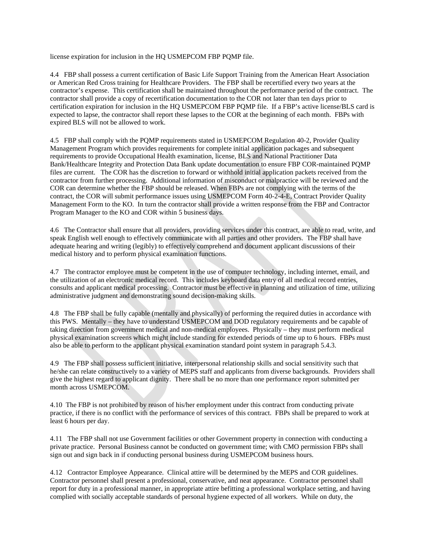license expiration for inclusion in the HQ USMEPCOM FBP PQMP file.

4.4 FBP shall possess a current certification of Basic Life Support Training from the American Heart Association or American Red Cross training for Healthcare Providers. The FBP shall be recertified every two years at the contractor's expense. This certification shall be maintained throughout the performance period of the contract. The contractor shall provide a copy of recertification documentation to the COR not later than ten days prior to certification expiration for inclusion in the HQ USMEPCOM FBP PQMP file. If a FBP's active license/BLS card is expected to lapse, the contractor shall report these lapses to the COR at the beginning of each month. FBPs with expired BLS will not be allowed to work.

4.5 FBP shall comply with the PQMP requirements stated in USMEPCOM Regulation 40-2, Provider Quality Management Program which provides requirements for complete initial application packages and subsequent requirements to provide Occupational Health examination, license, BLS and National Practitioner Data Bank/Healthcare Integrity and Protection Data Bank update documentation to ensure FBP COR-maintained PQMP files are current. The COR has the discretion to forward or withhold initial application packets received from the contractor from further processing. Additional information of misconduct or malpractice will be reviewed and the COR can determine whether the FBP should be released. When FBPs are not complying with the terms of the contract, the COR will submit performance issues using USMEPCOM Form 40-2-4-E, Contract Provider Quality Management Form to the KO. In turn the contractor shall provide a written response from the FBP and Contractor Program Manager to the KO and COR within 5 business days.

4.6 The Contractor shall ensure that all providers, providing services under this contract, are able to read, write, and speak English well enough to effectively communicate with all parties and other providers. The FBP shall have adequate hearing and writing (legibly) to effectively comprehend and document applicant discussions of their medical history and to perform physical examination functions.

4.7 The contractor employee must be competent in the use of computer technology, including internet, email, and the utilization of an electronic medical record. This includes keyboard data entry of all medical record entries, consults and applicant medical processing. Contractor must be effective in planning and utilization of time, utilizing administrative judgment and demonstrating sound decision-making skills.

4.8 The FBP shall be fully capable (mentally and physically) of performing the required duties in accordance with this PWS. Mentally – they have to understand USMEPCOM and DOD regulatory requirements and be capable of taking direction from government medical and non-medical employees. Physically – they must perform medical physical examination screens which might include standing for extended periods of time up to 6 hours. FBPs must also be able to perform to the applicant physical examination standard point system in paragraph 5.4.3.

4.9 The FBP shall possess sufficient initiative, interpersonal relationship skills and social sensitivity such that he/she can relate constructively to a variety of MEPS staff and applicants from diverse backgrounds. Providers shall give the highest regard to applicant dignity. There shall be no more than one performance report submitted per month across USMEPCOM.

4.10 The FBP is not prohibited by reason of his/her employment under this contract from conducting private practice, if there is no conflict with the performance of services of this contract. FBPs shall be prepared to work at least 6 hours per day.

4.11 The FBP shall not use Government facilities or other Government property in connection with conducting a private practice. Personal Business cannot be conducted on government time; with CMO permission FBPs shall sign out and sign back in if conducting personal business during USMEPCOM business hours.

4.12 Contractor Employee Appearance. Clinical attire will be determined by the MEPS and COR guidelines. Contractor personnel shall present a professional, conservative, and neat appearance. Contractor personnel shall report for duty in a professional manner, in appropriate attire befitting a professional workplace setting, and having complied with socially acceptable standards of personal hygiene expected of all workers. While on duty, the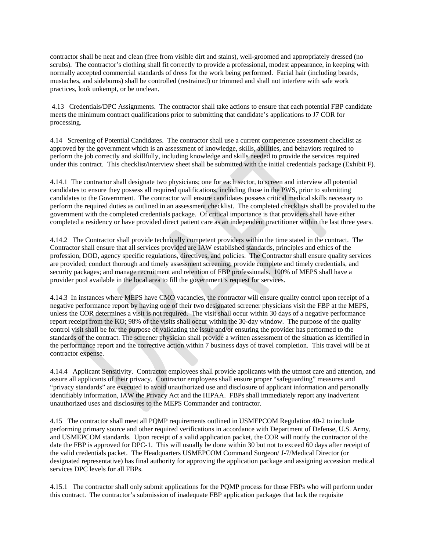contractor shall be neat and clean (free from visible dirt and stains), well-groomed and appropriately dressed (no scrubs). The contractor's clothing shall fit correctly to provide a professional, modest appearance, in keeping with normally accepted commercial standards of dress for the work being performed. Facial hair (including beards, mustaches, and sideburns) shall be controlled (restrained) or trimmed and shall not interfere with safe work practices, look unkempt, or be unclean.

4.13 Credentials/DPC Assignments. The contractor shall take actions to ensure that each potential FBP candidate meets the minimum contract qualifications prior to submitting that candidate's applications to J7 COR for processing.

4.14 Screening of Potential Candidates. The contractor shall use a current competence assessment checklist as approved by the government which is an assessment of knowledge, skills, abilities, and behaviors required to perform the job correctly and skillfully, including knowledge and skills needed to provide the services required under this contract. This checklist/interview sheet shall be submitted with the initial credentials package (Exhibit F).

4.14.1 The contractor shall designate two physicians; one for each sector, to screen and interview all potential candidates to ensure they possess all required qualifications, including those in the PWS, prior to submitting candidates to the Government. The contractor will ensure candidates possess critical medical skills necessary to perform the required duties as outlined in an assessment checklist. The completed checklists shall be provided to the government with the completed credentials package. Of critical importance is that providers shall have either completed a residency or have provided direct patient care as an independent practitioner within the last three years.

4.14.2 The Contractor shall provide technically competent providers within the time stated in the contract. The Contractor shall ensure that all services provided are IAW established standards, principles and ethics of the profession, DOD, agency specific regulations, directives, and policies. The Contractor shall ensure quality services are provided; conduct thorough and timely assessment screening; provide complete and timely credentials, and security packages; and manage recruitment and retention of FBP professionals. 100% of MEPS shall have a provider pool available in the local area to fill the government's request for services.

4.14.3 In instances where MEPS have CMO vacancies, the contractor will ensure quality control upon receipt of a negative performance report by having one of their two designated screener physicians visit the FBP at the MEPS, unless the COR determines a visit is not required. The visit shall occur within 30 days of a negative performance report receipt from the KO; 98% of the visits shall occur within the 30-day window. The purpose of the quality control visit shall be for the purpose of validating the issue and/or ensuring the provider has performed to the standards of the contract. The screener physician shall provide a written assessment of the situation as identified in the performance report and the corrective action within 7 business days of travel completion. This travel will be at contractor expense.

4.14.4 Applicant Sensitivity. Contractor employees shall provide applicants with the utmost care and attention, and assure all applicants of their privacy. Contractor employees shall ensure proper "safeguarding" measures and "privacy standards" are executed to avoid unauthorized use and disclosure of applicant information and personally identifiably information, IAW the Privacy Act and the HIPAA. FBPs shall immediately report any inadvertent unauthorized uses and disclosures to the MEPS Commander and contractor.

4.15 The contractor shall meet all PQMP requirements outlined in USMEPCOM Regulation 40-2 to include performing primary source and other required verifications in accordance with Department of Defense, U.S. Army, and USMEPCOM standards. Upon receipt of a valid application packet, the COR will notify the contractor of the date the FBP is approved for DPC-1. This will usually be done within 30 but not to exceed 60 days after receipt of the valid credentials packet. The Headquarters USMEPCOM Command Surgeon/ J-7/Medical Director (or designated representative) has final authority for approving the application package and assigning accession medical services DPC levels for all FBPs.

4.15.1 The contractor shall only submit applications for the PQMP process for those FBPs who will perform under this contract. The contractor's submission of inadequate FBP application packages that lack the requisite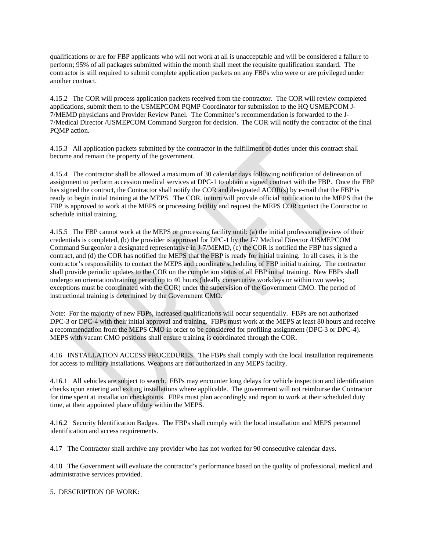qualifications or are for FBP applicants who will not work at all is unacceptable and will be considered a failure to perform; 95% of all packages submitted within the month shall meet the requisite qualification standard. The contractor is still required to submit complete application packets on any FBPs who were or are privileged under another contract.

4.15.2 The COR will process application packets received from the contractor. The COR will review completed applications, submit them to the USMEPCOM PQMP Coordinator for submission to the HQ USMEPCOM J-7/MEMD physicians and Provider Review Panel. The Committee's recommendation is forwarded to the J-7/Medical Director /USMEPCOM Command Surgeon for decision. The COR will notify the contractor of the final PQMP action.

4.15.3 All application packets submitted by the contractor in the fulfillment of duties under this contract shall become and remain the property of the government.

4.15.4 The contractor shall be allowed a maximum of 30 calendar days following notification of delineation of assignment to perform accession medical services at DPC-1 to obtain a signed contract with the FBP. Once the FBP has signed the contract, the Contractor shall notify the COR and designated ACOR(s) by e-mail that the FBP is ready to begin initial training at the MEPS. The COR, in turn will provide official notification to the MEPS that the FBP is approved to work at the MEPS or processing facility and request the MEPS COR contact the Contractor to schedule initial training.

4.15.5 The FBP cannot work at the MEPS or processing facility until: (a) the initial professional review of their credentials is completed, (b) the provider is approved for DPC-1 by the J-7 Medical Director /USMEPCOM Command Surgeon/or a designated representative in J-7/MEMD, (c) the COR is notified the FBP has signed a contract, and (d) the COR has notified the MEPS that the FBP is ready for initial training. In all cases, it is the contractor's responsibility to contact the MEPS and coordinate scheduling of FBP initial training. The contractor shall provide periodic updates to the COR on the completion status of all FBP initial training. New FBPs shall undergo an orientation/training period up to 40 hours (ideally consecutive workdays or within two weeks; exceptions must be coordinated with the COR) under the supervision of the Government CMO. The period of instructional training is determined by the Government CMO.

Note: For the majority of new FBPs, increased qualifications will occur sequentially. FBPs are not authorized DPC-3 or DPC-4 with their initial approval and training. FBPs must work at the MEPS at least 80 hours and receive a recommendation from the MEPS CMO in order to be considered for profiling assignment (DPC-3 or DPC-4). MEPS with vacant CMO positions shall ensure training is coordinated through the COR.

4.16 INSTALLATION ACCESS PROCEDURES. The FBPs shall comply with the local installation requirements for access to military installations. Weapons are not authorized in any MEPS facility.

4.16.1 All vehicles are subject to search. FBPs may encounter long delays for vehicle inspection and identification checks upon entering and exiting installations where applicable. The government will not reimburse the Contractor for time spent at installation checkpoints. FBPs must plan accordingly and report to work at their scheduled duty time, at their appointed place of duty within the MEPS.

4.16.2 Security Identification Badges. The FBPs shall comply with the local installation and MEPS personnel identification and access requirements.

4.17 The Contractor shall archive any provider who has not worked for 90 consecutive calendar days.

4.18 The Government will evaluate the contractor's performance based on the quality of professional, medical and administrative services provided.

5. DESCRIPTION OF WORK: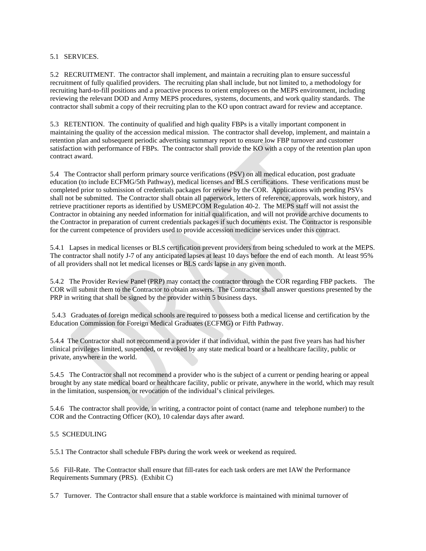## 5.1 SERVICES.

5.2 RECRUITMENT. The contractor shall implement, and maintain a recruiting plan to ensure successful recruitment of fully qualified providers. The recruiting plan shall include, but not limited to, a methodology for recruiting hard-to-fill positions and a proactive process to orient employees on the MEPS environment, including reviewing the relevant DOD and Army MEPS procedures, systems, documents, and work quality standards. The contractor shall submit a copy of their recruiting plan to the KO upon contract award for review and acceptance.

5.3 RETENTION. The continuity of qualified and high quality FBPs is a vitally important component in maintaining the quality of the accession medical mission. The contractor shall develop, implement, and maintain a retention plan and subsequent periodic advertising summary report to ensure low FBP turnover and customer satisfaction with performance of FBPs. The contractor shall provide the KO with a copy of the retention plan upon contract award.

5.4 The Contractor shall perform primary source verifications (PSV) on all medical education, post graduate education (to include ECFMG/5th Pathway), medical licenses and BLS certifications. These verifications must be completed prior to submission of credentials packages for review by the COR. Applications with pending PSVs shall not be submitted. The Contractor shall obtain all paperwork, letters of reference, approvals, work history, and retrieve practitioner reports as identified by USMEPCOM Regulation 40-2. The MEPS staff will not assist the Contractor in obtaining any needed information for initial qualification, and will not provide archive documents to the Contractor in preparation of current credentials packages if such documents exist. The Contractor is responsible for the current competence of providers used to provide accession medicine services under this contract.

5.4.1 Lapses in medical licenses or BLS certification prevent providers from being scheduled to work at the MEPS. The contractor shall notify J-7 of any anticipated lapses at least 10 days before the end of each month. At least 95% of all providers shall not let medical licenses or BLS cards lapse in any given month.

5.4.2 The Provider Review Panel (PRP) may contact the contractor through the COR regarding FBP packets. The COR will submit them to the Contractor to obtain answers. The Contractor shall answer questions presented by the PRP in writing that shall be signed by the provider within 5 business days.

5.4.3 Graduates of foreign medical schools are required to possess both a medical license and certification by the Education Commission for Foreign Medical Graduates (ECFMG) or Fifth Pathway.

5.4.4 The Contractor shall not recommend a provider if that individual, within the past five years has had his/her clinical privileges limited, suspended, or revoked by any state medical board or a healthcare facility, public or private, anywhere in the world.

5.4.5 The Contractor shall not recommend a provider who is the subject of a current or pending hearing or appeal brought by any state medical board or healthcare facility, public or private, anywhere in the world, which may result in the limitation, suspension, or revocation of the individual's clinical privileges.

5.4.6 The contractor shall provide, in writing, a contractor point of contact (name and telephone number) to the COR and the Contracting Officer (KO), 10 calendar days after award.

## 5.5 SCHEDULING

5.5.1 The Contractor shall schedule FBPs during the work week or weekend as required.

5.6 Fill-Rate. The Contractor shall ensure that fill-rates for each task orders are met IAW the Performance Requirements Summary (PRS). (Exhibit C)

5.7 Turnover. The Contractor shall ensure that a stable workforce is maintained with minimal turnover of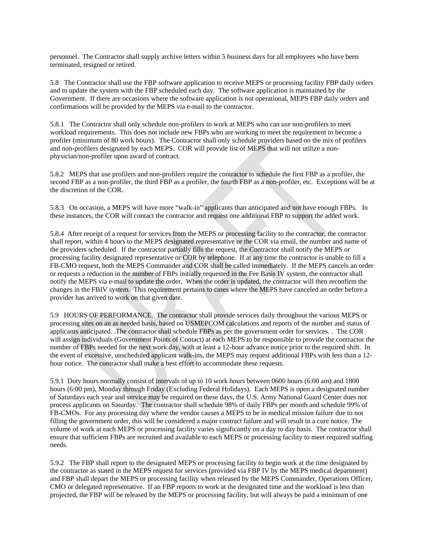personnel. The Contractor shall supply archive letters within 5 business days for all employees who have been terminated, resigned or retired.

5.8 The Contractor shall use the FBP software application to receive MEPS or processing facility FBP daily orders and to update the system with the FBP scheduled each day. The software application is maintained by the Government. If there are occasions where the software application is not operational, MEPS FBP daily orders and confirmations will be provided by the MEPS via e-mail to the contractor.

5.8.1 The Contractor shall only schedule non-profilers to work at MEPS who can use non-profilers to meet workload requirements. This does not include new FBPs who are working to meet the requirement to become a profiler (minimum of 80 work hours). The Contractor shall only schedule providers based on the mix of profilers and non-profilers designated by each MEPS. COR will provide list of MEPS that will not utilize a nonphysician/non-profiler upon award of contract.

5.8.2 MEPS that use profilers and non-profilers require the contractor to schedule the first FBP as a profiler, the second FBP as a non-profiler, the third FBP as a profiler, the fourth FBP as a non-profiler, etc. Exceptions will be at the discretion of the COR.

5.8.3 On occasion, a MEPS will have more "walk-in" applicants than anticipated and not have enough FBPs. In these instances, the COR will contact the contractor and request one additional FBP to support the added work.

5.8.4 After receipt of a request for services from the MEPS or processing facility to the contractor, the contractor shall report, within 4 hours to the MEPS designated representative or the COR via email, the number and name of the providers scheduled. If the contractor partially fills the request, the Contractor shall notify the MEPS or processing facility designated representative or COR by telephone. If at any time the contractor is unable to fill a FB-CMO request, both the MEPS Commander and COR shall be called immediately. If the MEPS cancels an order or requests a reduction in the number of FBPs initially requested in the Fee Basis IV system, the contractor shall notify the MEPS via e-mail to update the order. When the order is updated, the contractor will then reconfirm the changes in the FBIV system. This requirement pertains to cases where the MEPS have canceled an order before a provider has arrived to work on that given date.

5.9 HOURS OF PERFORMANCE. The contractor shall provide services daily throughout the various MEPS or processing sites on an as needed basis, based on USMEPCOM calculations and reports of the number and status of applicants anticipated. .The contractor shall schedule FBPs as per the government order for services. . The COR will assign individuals (Government Points of Contact) at each MEPS to be responsible to provide the contractor the number of FBPs needed for the next work day, with at least a 12-hour advance notice prior to the required shift. In the event of excessive, unscheduled applicant walk-ins, the MEPS may request additional FBPs with less than a 12 hour notice. The contractor shall make a best effort to accommodate these requests.

5.9.1 Duty hours normally consist of intervals of up to 10 work hours between 0600 hours (6:00 am) and 1800 hours (6:00 pm), Monday through Friday (Excluding Federal Holidays). Each MEPS is open a designated number of Saturdays each year and service may be required on these days, the U.S. Army National Guard Center does not process applicants on Saturday. The contractor shall schedule 98% of daily FBPs per month and schedule 99% of FB-CMOs. For any processing day where the vendor causes a MEPS to be in medical mission failure due to not filling the government order, this will be considered a major contract failure and will result in a cure notice. The volume of work at each MEPS or processing facility varies significantly on a day to day basis. The contractor shall ensure that sufficient FBPs are recruited and available to each MEPS or processing facility to meet required staffing needs.

5.9.2 The FBP shall report to the designated MEPS or processing facility to begin work at the time designated by the contractor as stated in the MEPS request for services (provided via FBP IV by the MEPS medical department) and FBP shall depart the MEPS or processing facility when released by the MEPS Commander, Operations Officer, CMO or delegated representative. If an FBP reports to work at the designated time and the workload is less than projected, the FBP will be released by the MEPS or processing facility, but will always be paid a minimum of one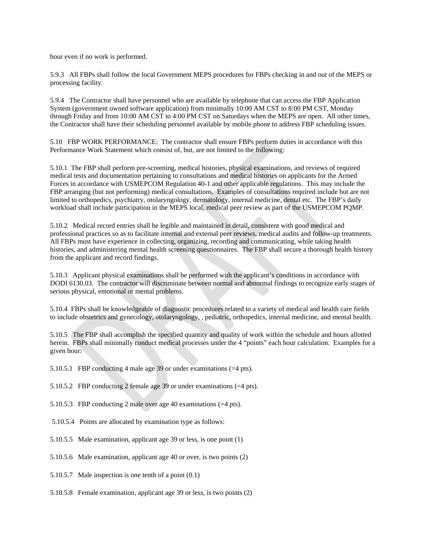hour even if no work is performed.

5.9.3 All FBPs shall follow the local Government MEPS procedures for FBPs checking in and out of the MEPS or processing facility.

5.9.4 The Contractor shall have personnel who are available by telephone that can access the FBP Application System (government owned software application) from minimally 10:00 AM CST to 8:00 PM CST, Monday through Friday and from 10:00 AM CST to 4:00 PM CST on Saturdays when the MEPS are open. All other times, the Contractor shall have their scheduling personnel available by mobile phone to address FBP scheduling issues.

5.10 FBP WORK PERFORMANCE: The contractor shall ensure FBPs perform duties in accordance with this Performance Work Statement which consist of, but, are not limited to the following:

5.10.1 The FBP shall perform pre-screening, medical histories, physical examinations, and reviews of required medical tests and documentation pertaining to consultations and medical histories on applicants for the Armed Forces in accordance with USMEPCOM Regulation 40-1 and other applicable regulations. This may include the FBP arranging (but not performing) medical consultations. Examples of consultations required include but are not limited to orthopedics, psychiatry, otolaryngology, dermatology, internal medicine, dental etc. The FBP's daily workload shall include participation in the MEPS local, medical peer review as part of the USMEPCOM PQMP.

5.10.2 Medical record entries shall be legible and maintained in detail, consistent with good medical and professional practices so as to facilitate internal and external peer reviews, medical audits and follow-up treatments. All FBPs must have experience in collecting, organizing, recording and communicating, while taking health histories, and administering mental health screening questionnaires. The FBP shall secure a thorough health history from the applicant and record findings.

5.10.3 Applicant physical examinations shall be performed with the applicant's conditions in accordance with DODI 6130.03. The contractor will discriminate between normal and abnormal findings to recognize early stages of serious physical, emotional or mental problems.

5.10.4 FBPs shall be knowledgeable of diagnostic procedures related to a variety of medical and health care fields to include obstetrics and gynecology, otolaryngology, , pediatric, orthopedics, internal medicine, and mental health.

5.10.5 The FBP shall accomplish the specified quantity and quality of work within the schedule and hours allotted herein. FBPs shall minimally conduct medical processes under the 4 "points" each hour calculation. Examples for a given hour:

5.10.5.1 FBP conducting 4 male age 39 or under examinations (=4 pts).

5.10.5.2 FBP conducting 2 female age 39 or under examinations (=4 pts).

5.10.5.3 FBP conducting 2 male over age 40 examinations (=4 pts).

- 5.10.5.4 Points are allocated by examination type as follows:
- 5.10.5.5 Male examination, applicant age 39 or less, is one point (1)
- 5.10.5.6 Male examination, applicant age 40 or over, is two points (2)
- 5.10.5.7 Male inspection is one tenth of a point (0.1)
- 5.10.5.8 Female examination, applicant age 39 or less, is two points (2)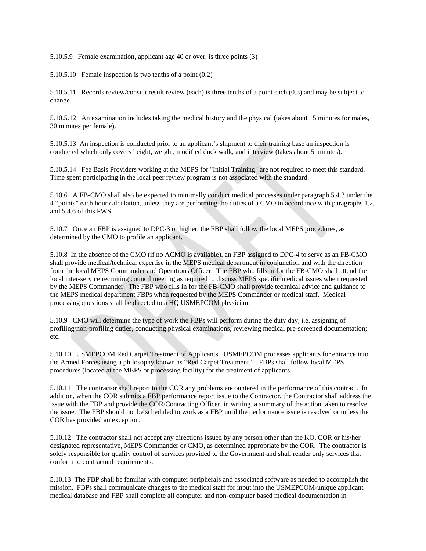5.10.5.9 Female examination, applicant age 40 or over, is three points (3)

5.10.5.10 Female inspection is two tenths of a point (0.2)

5.10.5.11 Records review/consult result review (each) is three tenths of a point each (0.3) and may be subject to change.

5.10.5.12 An examination includes taking the medical history and the physical (takes about 15 minutes for males, 30 minutes per female).

5.10.5.13 An inspection is conducted prior to an applicant's shipment to their training base an inspection is conducted which only covers height, weight, modified duck walk, and interview (takes about 5 minutes).

5.10.5.14 Fee Basis Providers working at the MEPS for "Initial Training" are not required to meet this standard. Time spent participating in the local peer review program is not associated with the standard.

5.10.6 A FB-CMO shall also be expected to minimally conduct medical processes under paragraph 5.4.3 under the 4 "points" each hour calculation, unless they are performing the duties of a CMO in accordance with paragraphs 1.2, and 5.4.6 of this PWS.

5.10.7 Once an FBP is assigned to DPC-3 or higher, the FBP shall follow the local MEPS procedures, as determined by the CMO to profile an applicant.

5.10.8 In the absence of the CMO (if no ACMO is available), an FBP assigned to DPC-4 to serve as an FB-CMO shall provide medical/technical expertise in the MEPS medical department in conjunction and with the direction from the local MEPS Commander and Operations Officer. The FBP who fills in for the FB-CMO shall attend the local inter-service recruiting council meeting as required to discuss MEPS specific medical issues when requested by the MEPS Commander. The FBP who fills in for the FB-CMO shall provide technical advice and guidance to the MEPS medical department FBPs when requested by the MEPS Commander or medical staff. Medical processing questions shall be directed to a HQ USMEPCOM physician.

5.10.9 CMO will determine the type of work the FBPs will perform during the duty day; i.e. assigning of profiling/non-profiling duties, conducting physical examinations, reviewing medical pre-screened documentation; etc.

5.10.10 USMEPCOM Red Carpet Treatment of Applicants. USMEPCOM processes applicants for entrance into the Armed Forces using a philosophy known as "Red Carpet Treatment." FBPs shall follow local MEPS procedures (located at the MEPS or processing facility) for the treatment of applicants.

5.10.11 The contractor shall report to the COR any problems encountered in the performance of this contract. In addition, when the COR submits a FBP performance report issue to the Contractor, the Contractor shall address the issue with the FBP and provide the COR/Contracting Officer, in writing, a summary of the action taken to resolve the issue. The FBP should not be scheduled to work as a FBP until the performance issue is resolved or unless the COR has provided an exception.

5.10.12 The contractor shall not accept any directions issued by any person other than the KO, COR or his/her designated representative, MEPS Commander or CMO, as determined appropriate by the COR. The contractor is solely responsible for quality control of services provided to the Government and shall render only services that conform to contractual requirements.

5.10.13 The FBP shall be familiar with computer peripherals and associated software as needed to accomplish the mission. FBPs shall communicate changes to the medical staff for input into the USMEPCOM-unique applicant medical database and FBP shall complete all computer and non-computer based medical documentation in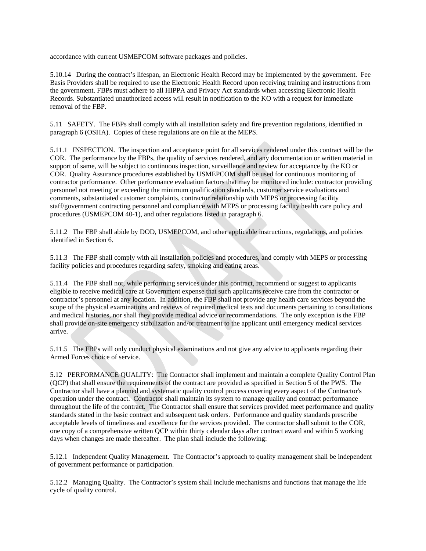accordance with current USMEPCOM software packages and policies.

5.10.14 During the contract's lifespan, an Electronic Health Record may be implemented by the government. Fee Basis Providers shall be required to use the Electronic Health Record upon receiving training and instructions from the government. FBPs must adhere to all HIPPA and Privacy Act standards when accessing Electronic Health Records. Substantiated unauthorized access will result in notification to the KO with a request for immediate removal of the FBP.

5.11 SAFETY. The FBPs shall comply with all installation safety and fire prevention regulations, identified in paragraph 6 (OSHA). Copies of these regulations are on file at the MEPS.

5.11.1 INSPECTION. The inspection and acceptance point for all services rendered under this contract will be the COR. The performance by the FBPs, the quality of services rendered, and any documentation or written material in support of same, will be subject to continuous inspection, surveillance and review for acceptance by the KO or COR. Quality Assurance procedures established by USMEPCOM shall be used for continuous monitoring of contractor performance. Other performance evaluation factors that may be monitored include: contractor providing personnel not meeting or exceeding the minimum qualification standards, customer service evaluations and comments, substantiated customer complaints, contractor relationship with MEPS or processing facility staff/government contracting personnel and compliance with MEPS or processing facility health care policy and procedures (USMEPCOM 40-1), and other regulations listed in paragraph 6.

5.11.2 The FBP shall abide by DOD, USMEPCOM, and other applicable instructions, regulations, and policies identified in Section 6.

5.11.3 The FBP shall comply with all installation policies and procedures, and comply with MEPS or processing facility policies and procedures regarding safety, smoking and eating areas.

5.11.4 The FBP shall not, while performing services under this contract, recommend or suggest to applicants eligible to receive medical care at Government expense that such applicants receive care from the contractor or contractor's personnel at any location. In addition, the FBP shall not provide any health care services beyond the scope of the physical examinations and reviews of required medical tests and documents pertaining to consultations and medical histories, nor shall they provide medical advice or recommendations. The only exception is the FBP shall provide on-site emergency stabilization and/or treatment to the applicant until emergency medical services arrive.

5.11.5 The FBPs will only conduct physical examinations and not give any advice to applicants regarding their Armed Forces choice of service.

5.12 PERFORMANCE QUALITY: The Contractor shall implement and maintain a complete Quality Control Plan (QCP) that shall ensure the requirements of the contract are provided as specified in Section 5 of the PWS. The Contractor shall have a planned and systematic quality control process covering every aspect of the Contractor's operation under the contract. Contractor shall maintain its system to manage quality and contract performance throughout the life of the contract. The Contractor shall ensure that services provided meet performance and quality standards stated in the basic contract and subsequent task orders. Performance and quality standards prescribe acceptable levels of timeliness and excellence for the services provided. The contractor shall submit to the COR, one copy of a comprehensive written QCP within thirty calendar days after contract award and within 5 working days when changes are made thereafter. The plan shall include the following:

5.12.1 Independent Quality Management. The Contractor's approach to quality management shall be independent of government performance or participation.

5.12.2 Managing Quality. The Contractor's system shall include mechanisms and functions that manage the life cycle of quality control.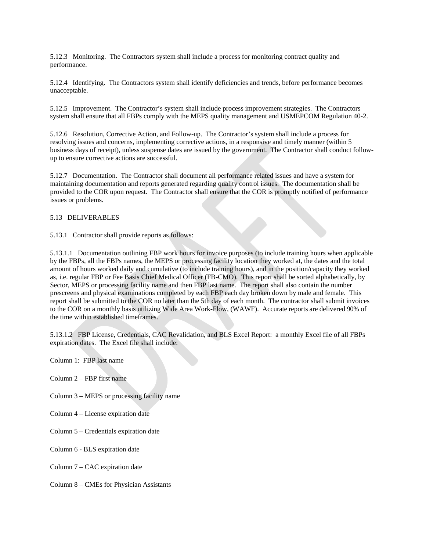5.12.3 Monitoring. The Contractors system shall include a process for monitoring contract quality and performance.

5.12.4 Identifying. The Contractors system shall identify deficiencies and trends, before performance becomes unacceptable.

5.12.5 Improvement. The Contractor's system shall include process improvement strategies. The Contractors system shall ensure that all FBPs comply with the MEPS quality management and USMEPCOM Regulation 40-2.

5.12.6 Resolution, Corrective Action, and Follow-up. The Contractor's system shall include a process for resolving issues and concerns, implementing corrective actions, in a responsive and timely manner (within 5 business days of receipt), unless suspense dates are issued by the government. The Contractor shall conduct followup to ensure corrective actions are successful.

5.12.7 Documentation. The Contractor shall document all performance related issues and have a system for maintaining documentation and reports generated regarding quality control issues. The documentation shall be provided to the COR upon request. The Contractor shall ensure that the COR is promptly notified of performance issues or problems.

## 5.13 DELIVERABLES

5.13.1 Contractor shall provide reports as follows:

5.13.1.1 Documentation outlining FBP work hours for invoice purposes (to include training hours when applicable by the FBPs, all the FBPs names, the MEPS or processing facility location they worked at, the dates and the total amount of hours worked daily and cumulative (to include training hours), and in the position/capacity they worked as, i.e. regular FBP or Fee Basis Chief Medical Officer (FB-CMO). This report shall be sorted alphabetically, by Sector, MEPS or processing facility name and then FBP last name. The report shall also contain the number prescreens and physical examinations completed by each FBP each day broken down by male and female. This report shall be submitted to the COR no later than the 5th day of each month. The contractor shall submit invoices to the COR on a monthly basis utilizing Wide Area Work-Flow, (WAWF). Accurate reports are delivered 90% of the time within established timeframes.

5.13.1.2 FBP License, Credentials, CAC Revalidation, and BLS Excel Report: a monthly Excel file of all FBPs expiration dates. The Excel file shall include:

Column 1: FBP last name

Column 2 – FBP first name

Column 3 – MEPS or processing facility name

- Column 4 License expiration date
- Column 5 Credentials expiration date
- Column 6 BLS expiration date

Column 7 – CAC expiration date

Column 8 – CMEs for Physician Assistants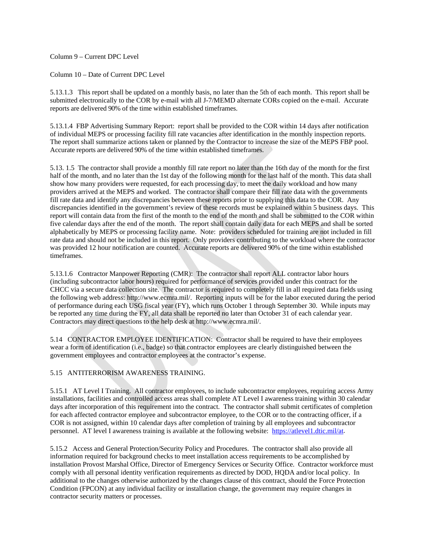Column 9 – Current DPC Level

Column 10 – Date of Current DPC Level

5.13.1.3 This report shall be updated on a monthly basis, no later than the 5th of each month. This report shall be submitted electronically to the COR by e-mail with all J-7/MEMD alternate CORs copied on the e-mail. Accurate reports are delivered 90% of the time within established timeframes.

5.13.1.4 FBP Advertising Summary Report: report shall be provided to the COR within 14 days after notification of individual MEPS or processing facility fill rate vacancies after identification in the monthly inspection reports. The report shall summarize actions taken or planned by the Contractor to increase the size of the MEPS FBP pool. Accurate reports are delivered 90% of the time within established timeframes.

5.13. 1.5 The contractor shall provide a monthly fill rate report no later than the 16th day of the month for the first half of the month, and no later than the 1st day of the following month for the last half of the month. This data shall show how many providers were requested, for each processing day, to meet the daily workload and how many providers arrived at the MEPS and worked. The contractor shall compare their fill rate data with the governments fill rate data and identify any discrepancies between these reports prior to supplying this data to the COR. Any discrepancies identified in the government's review of these records must be explained within 5 business days. This report will contain data from the first of the month to the end of the month and shall be submitted to the COR within five calendar days after the end of the month. The report shall contain daily data for each MEPS and shall be sorted alphabetically by MEPS or processing facility name. Note: providers scheduled for training are not included in fill rate data and should not be included in this report. Only providers contributing to the workload where the contractor was provided 12 hour notification are counted. Accurate reports are delivered 90% of the time within established timeframes.

5.13.1.6 Contractor Manpower Reporting (CMR): The contractor shall report ALL contractor labor hours (including subcontractor labor hours) required for performance of services provided under this contract for the CHCC via a secure data collection site. The contractor is required to completely fill in all required data fields using the following web address: http://www.ecmra.mil/. Reporting inputs will be for the labor executed during the period of performance during each USG fiscal year (FY), which runs October 1 through September 30. While inputs may be reported any time during the FY, all data shall be reported no later than October 31 of each calendar year. Contractors may direct questions to the help desk at http://www.ecmra.mil/.

5.14 CONTRACTOR EMPLOYEE IDENTIFICATION: Contractor shall be required to have their employees wear a form of identification (i.e., badge) so that contractor employees are clearly distinguished between the government employees and contractor employees at the contractor's expense.

# 5.15 ANTITERRORISM AWARENESS TRAINING.

5.15.1 AT Level I Training. All contractor employees, to include subcontractor employees, requiring access Army installations, facilities and controlled access areas shall complete AT Level I awareness training within 30 calendar days after incorporation of this requirement into the contract. The contractor shall submit certificates of completion for each affected contractor employee and subcontractor employee, to the COR or to the contracting officer, if a COR is not assigned, within 10 calendar days after completion of training by all employees and subcontractor personnel. AT level I awareness training is available at the following website: [https://atlevel1.dtic.mil/at.](https://atlevel1.dtic.mil/at)

5.15.2 Access and General Protection/Security Policy and Procedures. The contractor shall also provide all information required for background checks to meet installation access requirements to be accomplished by installation Provost Marshal Office, Director of Emergency Services or Security Office. Contractor workforce must comply with all personal identity verification requirements as directed by DOD, HQDA and/or local policy. In additional to the changes otherwise authorized by the changes clause of this contract, should the Force Protection Condition (FPCON) at any individual facility or installation change, the government may require changes in contractor security matters or processes.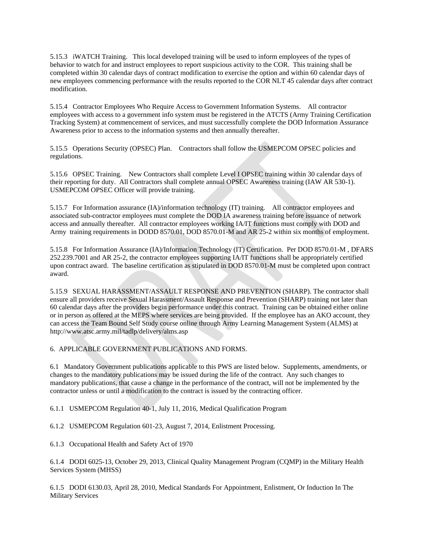5.15.3 iWATCH Training. This local developed training will be used to inform employees of the types of behavior to watch for and instruct employees to report suspicious activity to the COR. This training shall be completed within 30 calendar days of contract modification to exercise the option and within 60 calendar days of new employees commencing performance with the results reported to the COR NLT 45 calendar days after contract modification.

5.15.4 Contractor Employees Who Require Access to Government Information Systems. All contractor employees with access to a government info system must be registered in the ATCTS (Army Training Certification Tracking System) at commencement of services, and must successfully complete the DOD Information Assurance Awareness prior to access to the information systems and then annually thereafter.

5.15.5 Operations Security (OPSEC) Plan. Contractors shall follow the USMEPCOM OPSEC policies and regulations.

5.15.6 OPSEC Training. New Contractors shall complete Level I OPSEC training within 30 calendar days of their reporting for duty. All Contractors shall complete annual OPSEC Awareness training (IAW AR 530-1). USMEPCOM OPSEC Officer will provide training.

5.15.7 For Information assurance (IA)/information technology (IT) training. All contractor employees and associated sub-contractor employees must complete the DOD IA awareness training before issuance of network access and annually thereafter. All contractor employees working IA/IT functions must comply with DOD and Army training requirements in DODD 8570.01, DOD 8570.01-M and AR 25-2 within six months of employment.

5.15.8 For Information Assurance (IA)/Information Technology (IT) Certification. Per DOD 8570.01-M , DFARS 252.239.7001 and AR 25-2, the contractor employees supporting IA/IT functions shall be appropriately certified upon contract award. The baseline certification as stipulated in DOD 8570.01-M must be completed upon contract award.

5.15.9 SEXUAL HARASSMENT/ASSAULT RESPONSE AND PREVENTION (SHARP). The contractor shall ensure all providers receive Sexual Harassment/Assault Response and Prevention (SHARP) training not later than 60 calendar days after the providers begin performance under this contract. Training can be obtained either online or in person as offered at the MEPS where services are being provided. If the employee has an AKO account, they can access the Team Bound Self Study course online through Army Learning Management System (ALMS) at http://www.atsc.army.mil/tadlp/delivery/alms.asp

# 6. APPLICABLE GOVERNMENT PUBLICATIONS AND FORMS.

6.1 Mandatory Government publications applicable to this PWS are listed below. Supplements, amendments, or changes to the mandatory publications may be issued during the life of the contract. Any such changes to mandatory publications, that cause a change in the performance of the contract, will not be implemented by the contractor unless or until a modification to the contract is issued by the contracting officer.

6.1.1 USMEPCOM Regulation 40-1, July 11, 2016, Medical Qualification Program

6.1.2 USMEPCOM Regulation 601-23, August 7, 2014, Enlistment Processing.

6.1.3 Occupational Health and Safety Act of 1970

6.1.4 DODI 6025-13, October 29, 2013, Clinical Quality Management Program (CQMP) in the Military Health Services System (MHSS)

6.1.5 DODI 6130.03, April 28, 2010, Medical Standards For Appointment, Enlistment, Or Induction In The Military Services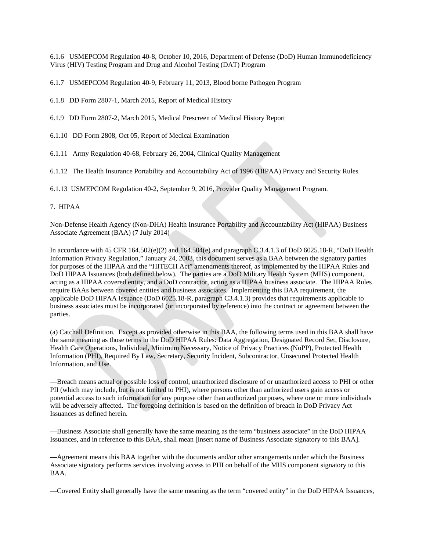6.1.6 USMEPCOM Regulation 40-8, October 10, 2016, Department of Defense (DoD) Human Immunodeficiency Virus (HIV) Testing Program and Drug and Alcohol Testing (DAT) Program

6.1.7 USMEPCOM Regulation 40-9, February 11, 2013, Blood borne Pathogen Program

- 6.1.8 DD Form 2807-1, March 2015, Report of Medical History
- 6.1.9 DD Form 2807-2, March 2015, Medical Prescreen of Medical History Report
- 6.1.10 DD Form 2808, Oct 05, Report of Medical Examination
- 6.1.11 Army Regulation 40-68, February 26, 2004, Clinical Quality Management
- 6.1.12 The Health Insurance Portability and Accountability Act of 1996 (HIPAA) Privacy and Security Rules

6.1.13 USMEPCOM Regulation 40-2, September 9, 2016, Provider Quality Management Program.

## 7. HIPAA

Non-Defense Health Agency (Non-DHA) Health Insurance Portability and Accountability Act (HIPAA) Business Associate Agreement (BAA) (7 July 2014)

In accordance with 45 CFR 164.502(e)(2) and 164.504(e) and paragraph C.3.4.1.3 of DoD 6025.18-R, "DoD Health Information Privacy Regulation," January 24, 2003, this document serves as a BAA between the signatory parties for purposes of the HIPAA and the "HITECH Act" amendments thereof, as implemented by the HIPAA Rules and DoD HIPAA Issuances (both defined below). The parties are a DoD Military Health System (MHS) component, acting as a HIPAA covered entity, and a DoD contractor, acting as a HIPAA business associate. The HIPAA Rules require BAAs between covered entities and business associates. Implementing this BAA requirement, the applicable DoD HIPAA Issuance (DoD 6025.18-R, paragraph C3.4.1.3) provides that requirements applicable to business associates must be incorporated (or incorporated by reference) into the contract or agreement between the parties.

(a) Catchall Definition. Except as provided otherwise in this BAA, the following terms used in this BAA shall have the same meaning as those terms in the DoD HIPAA Rules: Data Aggregation, Designated Record Set, Disclosure, Health Care Operations, Individual, Minimum Necessary, Notice of Privacy Practices (NoPP), Protected Health Information (PHI), Required By Law, Secretary, Security Incident, Subcontractor, Unsecured Protected Health Information, and Use.

—Breach means actual or possible loss of control, unauthorized disclosure of or unauthorized access to PHI or other PII (which may include, but is not limited to PHI), where persons other than authorized users gain access or potential access to such information for any purpose other than authorized purposes, where one or more individuals will be adversely affected. The foregoing definition is based on the definition of breach in DoD Privacy Act Issuances as defined herein.

—Business Associate shall generally have the same meaning as the term "business associate" in the DoD HIPAA Issuances, and in reference to this BAA, shall mean [insert name of Business Associate signatory to this BAA].

—Agreement means this BAA together with the documents and/or other arrangements under which the Business Associate signatory performs services involving access to PHI on behalf of the MHS component signatory to this BAA.

—Covered Entity shall generally have the same meaning as the term "covered entity" in the DoD HIPAA Issuances,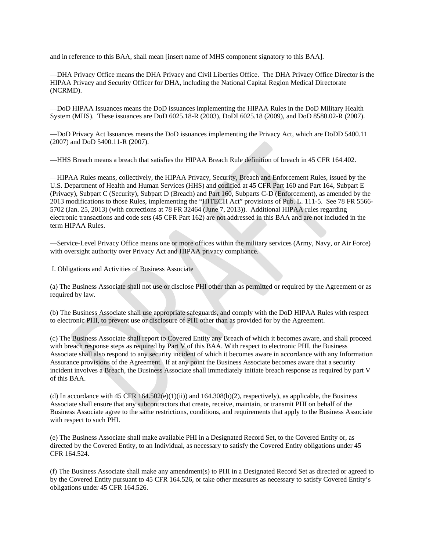and in reference to this BAA, shall mean [insert name of MHS component signatory to this BAA].

—DHA Privacy Office means the DHA Privacy and Civil Liberties Office. The DHA Privacy Office Director is the HIPAA Privacy and Security Officer for DHA, including the National Capital Region Medical Directorate (NCRMD).

—DoD HIPAA Issuances means the DoD issuances implementing the HIPAA Rules in the DoD Military Health System (MHS). These issuances are DoD 6025.18-R (2003), DoDI 6025.18 (2009), and DoD 8580.02-R (2007).

—DoD Privacy Act Issuances means the DoD issuances implementing the Privacy Act, which are DoDD 5400.11 (2007) and DoD 5400.11-R (2007).

—HHS Breach means a breach that satisfies the HIPAA Breach Rule definition of breach in 45 CFR 164.402.

—HIPAA Rules means, collectively, the HIPAA Privacy, Security, Breach and Enforcement Rules, issued by the U.S. Department of Health and Human Services (HHS) and codified at 45 CFR Part 160 and Part 164, Subpart E (Privacy), Subpart C (Security), Subpart D (Breach) and Part 160, Subparts C-D (Enforcement), as amended by the 2013 modifications to those Rules, implementing the "HITECH Act" provisions of Pub. L. 111-5. See 78 FR 5566- 5702 (Jan. 25, 2013) (with corrections at 78 FR 32464 (June 7, 2013)). Additional HIPAA rules regarding electronic transactions and code sets (45 CFR Part 162) are not addressed in this BAA and are not included in the term HIPAA Rules.

—Service-Level Privacy Office means one or more offices within the military services (Army, Navy, or Air Force) with oversight authority over Privacy Act and HIPAA privacy compliance.

I. Obligations and Activities of Business Associate

(a) The Business Associate shall not use or disclose PHI other than as permitted or required by the Agreement or as required by law.

(b) The Business Associate shall use appropriate safeguards, and comply with the DoD HIPAA Rules with respect to electronic PHI, to prevent use or disclosure of PHI other than as provided for by the Agreement.

(c) The Business Associate shall report to Covered Entity any Breach of which it becomes aware, and shall proceed with breach response steps as required by Part V of this BAA. With respect to electronic PHI, the Business Associate shall also respond to any security incident of which it becomes aware in accordance with any Information Assurance provisions of the Agreement. If at any point the Business Associate becomes aware that a security incident involves a Breach, the Business Associate shall immediately initiate breach response as required by part V of this BAA.

(d) In accordance with 45 CFR  $164.502(e)(1)(ii)$  and  $164.308(b)(2)$ , respectively), as applicable, the Business Associate shall ensure that any subcontractors that create, receive, maintain, or transmit PHI on behalf of the Business Associate agree to the same restrictions, conditions, and requirements that apply to the Business Associate with respect to such PHI.

(e) The Business Associate shall make available PHI in a Designated Record Set, to the Covered Entity or, as directed by the Covered Entity, to an Individual, as necessary to satisfy the Covered Entity obligations under 45 CFR 164.524.

(f) The Business Associate shall make any amendment(s) to PHI in a Designated Record Set as directed or agreed to by the Covered Entity pursuant to 45 CFR 164.526, or take other measures as necessary to satisfy Covered Entity's obligations under 45 CFR 164.526.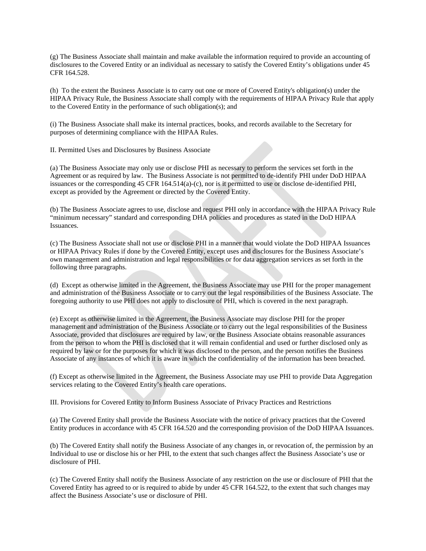(g) The Business Associate shall maintain and make available the information required to provide an accounting of disclosures to the Covered Entity or an individual as necessary to satisfy the Covered Entity's obligations under 45 CFR 164.528.

(h) To the extent the Business Associate is to carry out one or more of Covered Entity's obligation(s) under the HIPAA Privacy Rule, the Business Associate shall comply with the requirements of HIPAA Privacy Rule that apply to the Covered Entity in the performance of such obligation(s); and

(i) The Business Associate shall make its internal practices, books, and records available to the Secretary for purposes of determining compliance with the HIPAA Rules.

II. Permitted Uses and Disclosures by Business Associate

(a) The Business Associate may only use or disclose PHI as necessary to perform the services set forth in the Agreement or as required by law. The Business Associate is not permitted to de-identify PHI under DoD HIPAA issuances or the corresponding 45 CFR 164.514(a)-(c), nor is it permitted to use or disclose de-identified PHI, except as provided by the Agreement or directed by the Covered Entity.

(b) The Business Associate agrees to use, disclose and request PHI only in accordance with the HIPAA Privacy Rule "minimum necessary" standard and corresponding DHA policies and procedures as stated in the DoD HIPAA Issuances.

(c) The Business Associate shall not use or disclose PHI in a manner that would violate the DoD HIPAA Issuances or HIPAA Privacy Rules if done by the Covered Entity, except uses and disclosures for the Business Associate's own management and administration and legal responsibilities or for data aggregation services as set forth in the following three paragraphs.

(d) Except as otherwise limited in the Agreement, the Business Associate may use PHI for the proper management and administration of the Business Associate or to carry out the legal responsibilities of the Business Associate. The foregoing authority to use PHI does not apply to disclosure of PHI, which is covered in the next paragraph.

(e) Except as otherwise limited in the Agreement, the Business Associate may disclose PHI for the proper management and administration of the Business Associate or to carry out the legal responsibilities of the Business Associate, provided that disclosures are required by law, or the Business Associate obtains reasonable assurances from the person to whom the PHI is disclosed that it will remain confidential and used or further disclosed only as required by law or for the purposes for which it was disclosed to the person, and the person notifies the Business Associate of any instances of which it is aware in which the confidentiality of the information has been breached.

(f) Except as otherwise limited in the Agreement, the Business Associate may use PHI to provide Data Aggregation services relating to the Covered Entity's health care operations.

III. Provisions for Covered Entity to Inform Business Associate of Privacy Practices and Restrictions

(a) The Covered Entity shall provide the Business Associate with the notice of privacy practices that the Covered Entity produces in accordance with 45 CFR 164.520 and the corresponding provision of the DoD HIPAA Issuances.

(b) The Covered Entity shall notify the Business Associate of any changes in, or revocation of, the permission by an Individual to use or disclose his or her PHI, to the extent that such changes affect the Business Associate's use or disclosure of PHI.

(c) The Covered Entity shall notify the Business Associate of any restriction on the use or disclosure of PHI that the Covered Entity has agreed to or is required to abide by under 45 CFR 164.522, to the extent that such changes may affect the Business Associate's use or disclosure of PHI.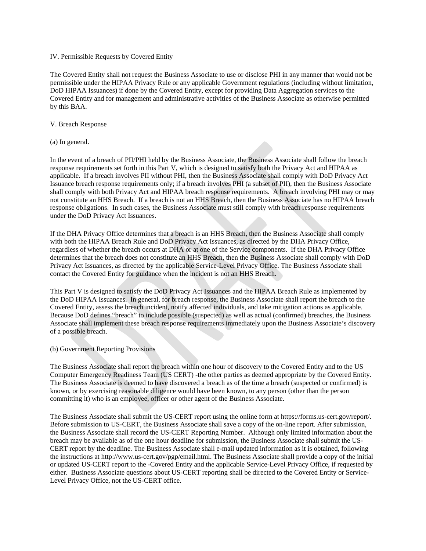### IV. Permissible Requests by Covered Entity

The Covered Entity shall not request the Business Associate to use or disclose PHI in any manner that would not be permissible under the HIPAA Privacy Rule or any applicable Government regulations (including without limitation, DoD HIPAA Issuances) if done by the Covered Entity, except for providing Data Aggregation services to the Covered Entity and for management and administrative activities of the Business Associate as otherwise permitted by this BAA.

### V. Breach Response

(a) In general.

In the event of a breach of PII/PHI held by the Business Associate, the Business Associate shall follow the breach response requirements set forth in this Part V, which is designed to satisfy both the Privacy Act and HIPAA as applicable. If a breach involves PII without PHI, then the Business Associate shall comply with DoD Privacy Act Issuance breach response requirements only; if a breach involves PHI (a subset of PII), then the Business Associate shall comply with both Privacy Act and HIPAA breach response requirements. A breach involving PHI may or may not constitute an HHS Breach. If a breach is not an HHS Breach, then the Business Associate has no HIPAA breach response obligations. In such cases, the Business Associate must still comply with breach response requirements under the DoD Privacy Act Issuances.

If the DHA Privacy Office determines that a breach is an HHS Breach, then the Business Associate shall comply with both the HIPAA Breach Rule and DoD Privacy Act Issuances, as directed by the DHA Privacy Office, regardless of whether the breach occurs at DHA or at one of the Service components. If the DHA Privacy Office determines that the breach does not constitute an HHS Breach, then the Business Associate shall comply with DoD Privacy Act Issuances, as directed by the applicable Service-Level Privacy Office. The Business Associate shall contact the Covered Entity for guidance when the incident is not an HHS Breach.

This Part V is designed to satisfy the DoD Privacy Act Issuances and the HIPAA Breach Rule as implemented by the DoD HIPAA Issuances. In general, for breach response, the Business Associate shall report the breach to the Covered Entity, assess the breach incident, notify affected individuals, and take mitigation actions as applicable. Because DoD defines "breach" to include possible (suspected) as well as actual (confirmed) breaches, the Business Associate shall implement these breach response requirements immediately upon the Business Associate's discovery of a possible breach.

(b) Government Reporting Provisions

The Business Associate shall report the breach within one hour of discovery to the Covered Entity and to the US Computer Emergency Readiness Team (US CERT) -the other parties as deemed appropriate by the Covered Entity. The Business Associate is deemed to have discovered a breach as of the time a breach (suspected or confirmed) is known, or by exercising reasonable diligence would have been known, to any person (other than the person committing it) who is an employee, officer or other agent of the Business Associate.

The Business Associate shall submit the US-CERT report using the online form at https://forms.us-cert.gov/report/. Before submission to US-CERT, the Business Associate shall save a copy of the on-line report. After submission, the Business Associate shall record the US-CERT Reporting Number. Although only limited information about the breach may be available as of the one hour deadline for submission, the Business Associate shall submit the US-CERT report by the deadline. The Business Associate shall e-mail updated information as it is obtained, following the instructions at http://www.us-cert.gov/pgp/email.html. The Business Associate shall provide a copy of the initial or updated US-CERT report to the -Covered Entity and the applicable Service-Level Privacy Office, if requested by either. Business Associate questions about US-CERT reporting shall be directed to the Covered Entity or Service-Level Privacy Office, not the US-CERT office.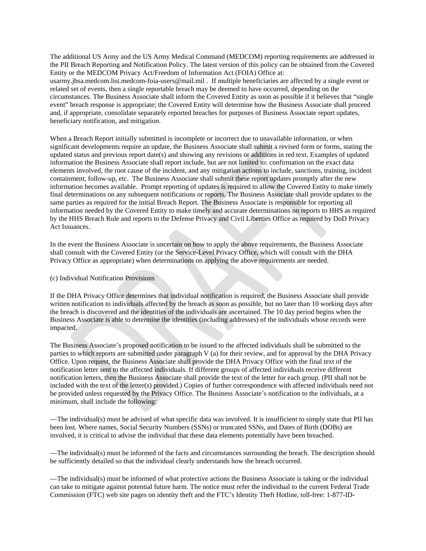The additional US Army and the US Army Medical Command (MEDCOM) reporting requirements are addressed in the PII Breach Reporting and Notification Policy. The latest version of this policy can be obtained from the Covered Entity or the MEDCOM Privacy Act/Freedom of Information Act (FOIA) Office at: usarmy.jbsa.medcom.list.medcom-foia-users@mail.mil . If multiple beneficiaries are affected by a single event or related set of events, then a single reportable breach may be deemed to have occurred, depending on the circumstances. The Business Associate shall inform the Covered Entity as soon as possible if it believes that "single event" breach response is appropriate; the Covered Entity will determine how the Business Associate shall proceed and, if appropriate, consolidate separately reported breaches for purposes of Business Associate report updates, beneficiary notification, and mitigation.

When a Breach Report initially submitted is incomplete or incorrect due to unavailable information, or when significant developments require an update, the Business Associate shall submit a revised form or forms, stating the updated status and previous report date(s) and showing any revisions or additions in red text. Examples of updated information the Business Associate shall report include, but are not limited to: confirmation on the exact data elements involved, the root cause of the incident, and any mitigation actions to include, sanctions, training, incident containment, follow-up, etc. The Business Associate shall submit these report updates promptly after the new information becomes available. Prompt reporting of updates is required to allow the Covered Entity to make timely final determinations on any subsequent notifications or reports. The Business Associate shall provide updates to the same parties as required for the initial Breach Report. The Business Associate is responsible for reporting all information needed by the Covered Entity to make timely and accurate determinations on reports to HHS as required by the HHS Breach Rule and reports to the Defense Privacy and Civil Liberties Office as required by DoD Privacy Act Issuances.

In the event the Business Associate is uncertain on how to apply the above requirements, the Business Associate shall consult with the Covered Entity (or the Service-Level Privacy Office, which will consult with the DHA Privacy Office as appropriate) when determinations on applying the above requirements are needed.

### (c) Individual Notification Provisions

If the DHA Privacy Office determines that individual notification is required, the Business Associate shall provide written notification to individuals affected by the breach as soon as possible, but no later than 10 working days after the breach is discovered and the identities of the individuals are ascertained. The 10 day period begins when the Business Associate is able to determine the identities (including addresses) of the individuals whose records were impacted.

The Business Associate's proposed notification to be issued to the affected individuals shall be submitted to the parties to which reports are submitted under paragraph V (a) for their review, and for approval by the DHA Privacy Office. Upon request, the Business Associate shall provide the DHA Privacy Office with the final text of the notification letter sent to the affected individuals. If different groups of affected individuals receive different notification letters, then the Business Associate shall provide the text of the letter for each group. (PII shall not be included with the text of the letter(s) provided.) Copies of further correspondence with affected individuals need not be provided unless requested by the Privacy Office. The Business Associate's notification to the individuals, at a minimum, shall include the following:

—The individual(s) must be advised of what specific data was involved. It is insufficient to simply state that PII has been lost. Where names, Social Security Numbers (SSNs) or truncated SSNs, and Dates of Birth (DOBs) are involved, it is critical to advise the individual that these data elements potentially have been breached.

—The individual(s) must be informed of the facts and circumstances surrounding the breach. The description should be sufficiently detailed so that the individual clearly understands how the breach occurred.

—The individual(s) must be informed of what protective actions the Business Associate is taking or the individual can take to mitigate against potential future harm. The notice must refer the individual to the current Federal Trade Commission (FTC) web site pages on identity theft and the FTC's Identity Theft Hotline, toll-free: 1-877-ID-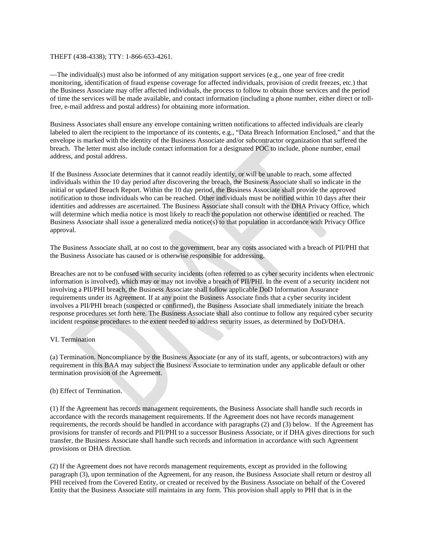#### THEFT (438-4338); TTY: 1-866-653-4261.

—The individual(s) must also be informed of any mitigation support services (e.g., one year of free credit monitoring, identification of fraud expense coverage for affected individuals, provision of credit freezes, etc.) that the Business Associate may offer affected individuals, the process to follow to obtain those services and the period of time the services will be made available, and contact information (including a phone number, either direct or tollfree, e-mail address and postal address) for obtaining more information.

Business Associates shall ensure any envelope containing written notifications to affected individuals are clearly labeled to alert the recipient to the importance of its contents, e.g., "Data Breach Information Enclosed," and that the envelope is marked with the identity of the Business Associate and/or subcontractor organization that suffered the breach. The letter must also include contact information for a designated POC to include, phone number, email address, and postal address.

If the Business Associate determines that it cannot readily identify, or will be unable to reach, some affected individuals within the 10 day period after discovering the breach, the Business Associate shall so indicate in the initial or updated Breach Report. Within the 10 day period, the Business Associate shall provide the approved notification to those individuals who can be reached. Other individuals must be notified within 10 days after their identities and addresses are ascertained. The Business Associate shall consult with the DHA Privacy Office, which will determine which media notice is most likely to reach the population not otherwise identified or reached. The Business Associate shall issue a generalized media notice(s) to that population in accordance with Privacy Office approval.

The Business Associate shall, at no cost to the government, bear any costs associated with a breach of PII/PHI that the Business Associate has caused or is otherwise responsible for addressing.

Breaches are not to be confused with security incidents (often referred to as cyber security incidents when electronic information is involved), which may or may not involve a breach of PII/PHI. In the event of a security incident not involving a PII/PHI breach, the Business Associate shall follow applicable DoD Information Assurance requirements under its Agreement. If at any point the Business Associate finds that a cyber security incident involves a PII/PHI breach (suspected or confirmed), the Business Associate shall immediately initiate the breach response procedures set forth here. The Business Associate shall also continue to follow any required cyber security incident response procedures to the extent needed to address security issues, as determined by DoD/DHA.

### VI. Termination

(a) Termination. Noncompliance by the Business Associate (or any of its staff, agents, or subcontractors) with any requirement in this BAA may subject the Business Associate to termination under any applicable default or other termination provision of the Agreement.

## (b) Effect of Termination.

(1) If the Agreement has records management requirements, the Business Associate shall handle such records in accordance with the records management requirements. If the Agreement does not have records management requirements, the records should be handled in accordance with paragraphs (2) and (3) below. If the Agreement has provisions for transfer of records and PII/PHI to a successor Business Associate, or if DHA gives directions for such transfer, the Business Associate shall handle such records and information in accordance with such Agreement provisions or DHA direction.

(2) If the Agreement does not have records management requirements, except as provided in the following paragraph (3), upon termination of the Agreement, for any reason, the Business Associate shall return or destroy all PHI received from the Covered Entity, or created or received by the Business Associate on behalf of the Covered Entity that the Business Associate still maintains in any form. This provision shall apply to PHI that is in the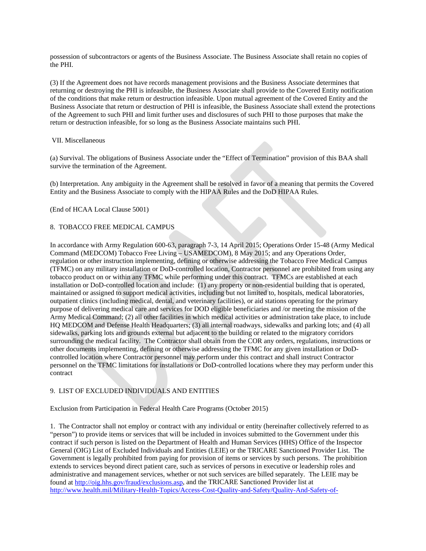possession of subcontractors or agents of the Business Associate. The Business Associate shall retain no copies of the PHI.

(3) If the Agreement does not have records management provisions and the Business Associate determines that returning or destroying the PHI is infeasible, the Business Associate shall provide to the Covered Entity notification of the conditions that make return or destruction infeasible. Upon mutual agreement of the Covered Entity and the Business Associate that return or destruction of PHI is infeasible, the Business Associate shall extend the protections of the Agreement to such PHI and limit further uses and disclosures of such PHI to those purposes that make the return or destruction infeasible, for so long as the Business Associate maintains such PHI.

#### VII. Miscellaneous

(a) Survival. The obligations of Business Associate under the "Effect of Termination" provision of this BAA shall survive the termination of the Agreement.

(b) Interpretation. Any ambiguity in the Agreement shall be resolved in favor of a meaning that permits the Covered Entity and the Business Associate to comply with the HIPAA Rules and the DoD HIPAA Rules.

#### (End of HCAA Local Clause 5001)

### 8. TOBACCO FREE MEDICAL CAMPUS

In accordance with Army Regulation 600-63, paragraph 7-3, 14 April 2015; Operations Order 15-48 (Army Medical Command (MEDCOM) Tobacco Free Living – USAMEDCOM), 8 May 2015; and any Operations Order, regulation or other instruction implementing, defining or otherwise addressing the Tobacco Free Medical Campus (TFMC) on any military installation or DoD-controlled location, Contractor personnel are prohibited from using any tobacco product on or within any TFMC while performing under this contract. TFMCs are established at each installation or DoD-controlled location and include: (1) any property or non-residential building that is operated, maintained or assigned to support medical activities, including but not limited to, hospitals, medical laboratories, outpatient clinics (including medical, dental, and veterinary facilities), or aid stations operating for the primary purpose of delivering medical care and services for DOD eligible beneficiaries and /or meeting the mission of the Army Medical Command; (2) all other facilities in which medical activities or administration take place, to include HQ MEDCOM and Defense Health Headquarters; (3) all internal roadways, sidewalks and parking lots; and (4) all sidewalks, parking lots and grounds external but adjacent to the building or related to the migratory corridors surrounding the medical facility. The Contractor shall obtain from the COR any orders, regulations, instructions or other documents implementing, defining or otherwise addressing the TFMC for any given installation or DoDcontrolled location where Contractor personnel may perform under this contract and shall instruct Contractor personnel on the TFMC limitations for installations or DoD-controlled locations where they may perform under this contract

# 9. LIST OF EXCLUDED INDIVIDUALS AND ENTITIES

Exclusion from Participation in Federal Health Care Programs (October 2015)

1. The Contractor shall not employ or contract with any individual or entity (hereinafter collectively referred to as "person") to provide items or services that will be included in invoices submitted to the Government under this contract if such person is listed on the Department of Health and Human Services (HHS) Office of the Inspector General (OIG) List of Excluded Individuals and Entities (LEIE) or the TRICARE Sanctioned Provider List. The Government is legally prohibited from paying for provision of items or services by such persons. The prohibition extends to services beyond direct patient care, such as services of persons in executive or leadership roles and administrative and management services, whether or not such services are billed separately. The LEIE may be found a[t http://oig.hhs.gov/fraud/exclusions.asp,](http://oig.hhs.gov/fraud/exclusions.asp) and the TRICARE Sanctioned Provider list at [http://www.health.mil/Military-Health-Topics/Access-Cost-Quality-and-Safety/Quality-And-Safety-of-](http://www.health.mil/Military-Health-Topics/Access-Cost-Quality-and-Safety/Quality-And-Safety-of-Healthcare/Program-Integrity/Sanctioned-Providers)